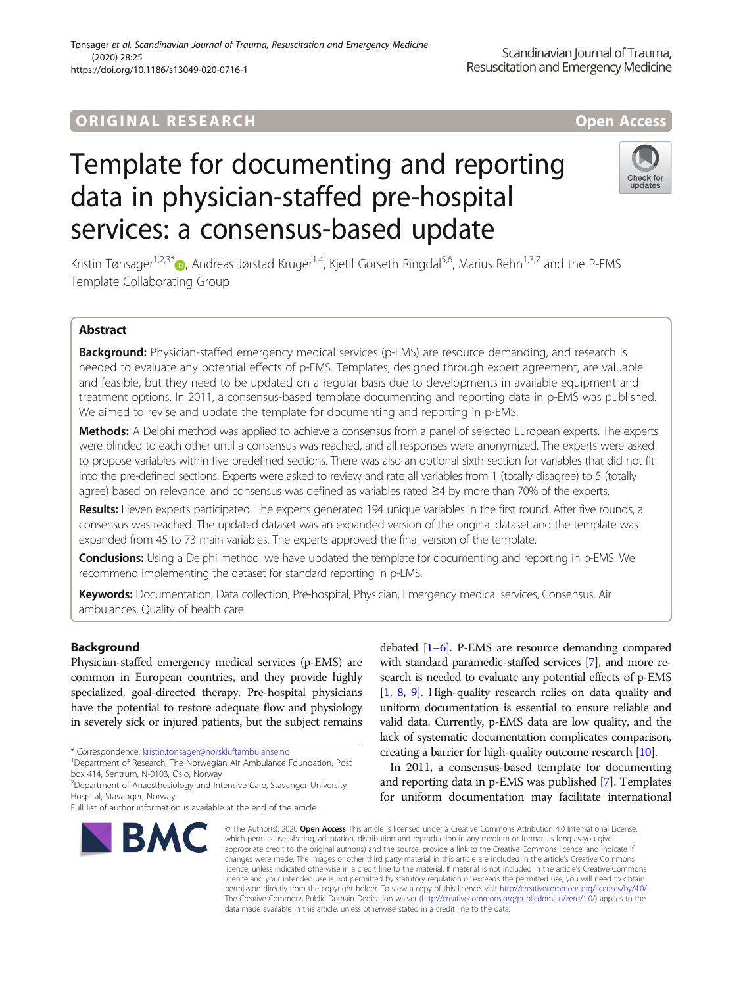# Template for documenting and reporting data in physician-staffed pre-hospital services: a consensus-based update

Kristin Tønsager<sup>1[,](http://orcid.org/0000-0002-5289-0442)2,3\*</sup> <sub>(b)</sub>, Andreas Jørstad Krüger<sup>1,4</sup>, Kjetil Gorseth Ringdal<sup>5,6</sup>, Marius Rehn<sup>1,3,7</sup> and the P-EMS Template Collaborating Group

# Abstract

Background: Physician-staffed emergency medical services (p-EMS) are resource demanding, and research is needed to evaluate any potential effects of p-EMS. Templates, designed through expert agreement, are valuable and feasible, but they need to be updated on a regular basis due to developments in available equipment and treatment options. In 2011, a consensus-based template documenting and reporting data in p-EMS was published. We aimed to revise and update the template for documenting and reporting in p-EMS.

Methods: A Delphi method was applied to achieve a consensus from a panel of selected European experts. The experts were blinded to each other until a consensus was reached, and all responses were anonymized. The experts were asked to propose variables within five predefined sections. There was also an optional sixth section for variables that did not fit into the pre-defined sections. Experts were asked to review and rate all variables from 1 (totally disagree) to 5 (totally agree) based on relevance, and consensus was defined as variables rated ≥4 by more than 70% of the experts.

Results: Eleven experts participated. The experts generated 194 unique variables in the first round. After five rounds, a consensus was reached. The updated dataset was an expanded version of the original dataset and the template was expanded from 45 to 73 main variables. The experts approved the final version of the template.

**Conclusions:** Using a Delphi method, we have updated the template for documenting and reporting in p-EMS. We recommend implementing the dataset for standard reporting in p-EMS.

Keywords: Documentation, Data collection, Pre-hospital, Physician, Emergency medical services, Consensus, Air ambulances, Quality of health care

# Background

Physician-staffed emergency medical services (p-EMS) are common in European countries, and they provide highly specialized, goal-directed therapy. Pre-hospital physicians have the potential to restore adequate flow and physiology in severely sick or injured patients, but the subject remains

\* Correspondence: [kristin.tonsager@norskluftambulanse.no](mailto:kristin.tonsager@norskluftambulanse.no) <sup>1</sup>

<sup>1</sup>Department of Research, The Norwegian Air Ambulance Foundation, Post box 414, Sentrum, N-0103, Oslo, Norway

<sup>2</sup>Department of Anaesthesiology and Intensive Care, Stavanger University Hospital, Stavanger, Norway

# Tønsager et al. Scandinavian Journal of Trauma, Resuscitation and Emergency Medicine (2020) 28:25 https://doi.org/10.1186/s13049-020-0716-1

which permits use, sharing, adaptation, distribution and reproduction in any medium or format, as long as you give appropriate credit to the original author(s) and the source, provide a link to the Creative Commons licence, and indicate if changes were made. The images or other third party material in this article are included in the article's Creative Commons licence, unless indicated otherwise in a credit line to the material. If material is not included in the article's Creative Commons licence and your intended use is not permitted by statutory regulation or exceeds the permitted use, you will need to obtain permission directly from the copyright holder. To view a copy of this licence, visit [http://creativecommons.org/licenses/by/4.0/.](http://creativecommons.org/licenses/by/4.0/) The Creative Commons Public Domain Dedication waiver [\(http://creativecommons.org/publicdomain/zero/1.0/](http://creativecommons.org/publicdomain/zero/1.0/)) applies to the data made available in this article, unless otherwise stated in a credit line to the data.

© The Author(s). 2020 Open Access This article is licensed under a Creative Commons Attribution 4.0 International License,

debated [\[1](#page-26-0)–[6\]](#page-26-0). P-EMS are resource demanding compared with standard paramedic-staffed services [\[7\]](#page-26-0), and more research is needed to evaluate any potential effects of p-EMS [[1](#page-26-0), [8](#page-26-0), [9](#page-26-0)]. High-quality research relies on data quality and uniform documentation is essential to ensure reliable and valid data. Currently, p-EMS data are low quality, and the lack of systematic documentation complicates comparison, creating a barrier for high-quality outcome research [[10](#page-26-0)].

In 2011, a consensus-based template for documenting and reporting data in p-EMS was published [\[7\]](#page-26-0). Templates for uniform documentation may facilitate international





Full list of author information is available at the end of the article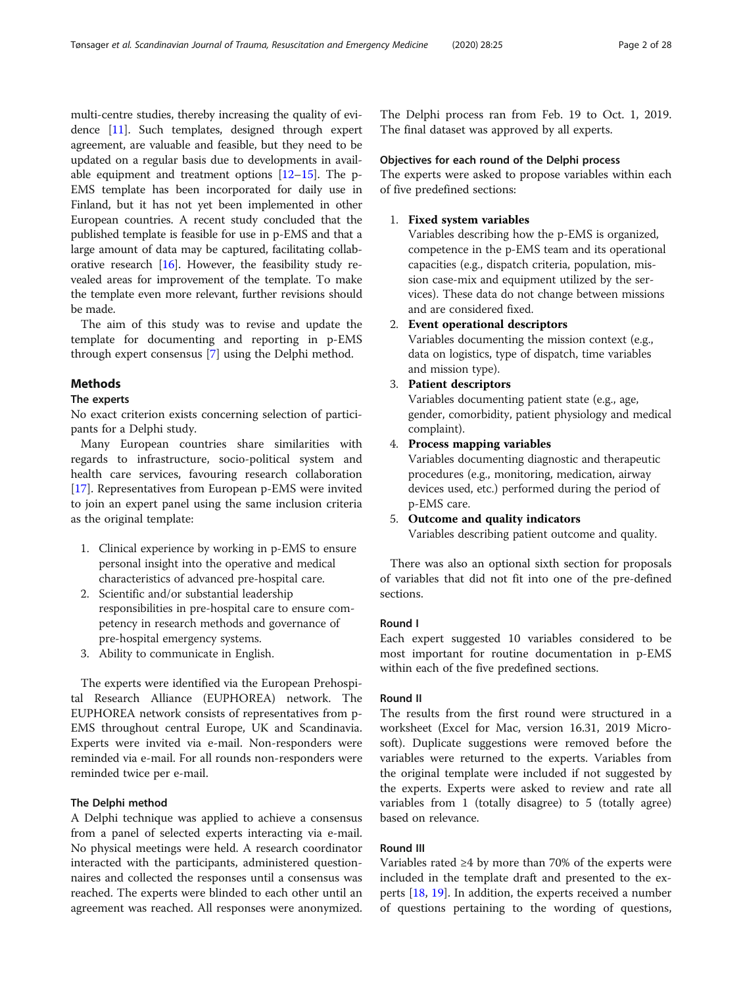multi-centre studies, thereby increasing the quality of evidence [[11](#page-26-0)]. Such templates, designed through expert agreement, are valuable and feasible, but they need to be updated on a regular basis due to developments in available equipment and treatment options [\[12](#page-27-0)–[15](#page-27-0)]. The p-EMS template has been incorporated for daily use in Finland, but it has not yet been implemented in other European countries. A recent study concluded that the published template is feasible for use in p-EMS and that a large amount of data may be captured, facilitating collaborative research [\[16\]](#page-27-0). However, the feasibility study revealed areas for improvement of the template. To make the template even more relevant, further revisions should be made.

The aim of this study was to revise and update the template for documenting and reporting in p-EMS through expert consensus [\[7](#page-26-0)] using the Delphi method.

#### Methods

#### The experts

No exact criterion exists concerning selection of participants for a Delphi study.

Many European countries share similarities with regards to infrastructure, socio-political system and health care services, favouring research collaboration [[17\]](#page-27-0). Representatives from European p-EMS were invited to join an expert panel using the same inclusion criteria as the original template:

- 1. Clinical experience by working in p-EMS to ensure personal insight into the operative and medical characteristics of advanced pre-hospital care.
- 2. Scientific and/or substantial leadership responsibilities in pre-hospital care to ensure competency in research methods and governance of pre-hospital emergency systems.
- 3. Ability to communicate in English.

The experts were identified via the European Prehospital Research Alliance (EUPHOREA) network. The EUPHOREA network consists of representatives from p-EMS throughout central Europe, UK and Scandinavia. Experts were invited via e-mail. Non-responders were reminded via e-mail. For all rounds non-responders were reminded twice per e-mail.

## The Delphi method

A Delphi technique was applied to achieve a consensus from a panel of selected experts interacting via e-mail. No physical meetings were held. A research coordinator interacted with the participants, administered questionnaires and collected the responses until a consensus was reached. The experts were blinded to each other until an agreement was reached. All responses were anonymized. The Delphi process ran from Feb. 19 to Oct. 1, 2019. The final dataset was approved by all experts.

#### Objectives for each round of the Delphi process

The experts were asked to propose variables within each of five predefined sections:

## 1. Fixed system variables

Variables describing how the p-EMS is organized, competence in the p-EMS team and its operational capacities (e.g., dispatch criteria, population, mission case-mix and equipment utilized by the services). These data do not change between missions and are considered fixed.

# 2. Event operational descriptors

Variables documenting the mission context (e.g., data on logistics, type of dispatch, time variables and mission type).

## 3. Patient descriptors

Variables documenting patient state (e.g., age, gender, comorbidity, patient physiology and medical complaint).

#### 4. Process mapping variables

Variables documenting diagnostic and therapeutic procedures (e.g., monitoring, medication, airway devices used, etc.) performed during the period of p-EMS care.

5. Outcome and quality indicators Variables describing patient outcome and quality.

There was also an optional sixth section for proposals of variables that did not fit into one of the pre-defined sections.

#### Round I

Each expert suggested 10 variables considered to be most important for routine documentation in p-EMS within each of the five predefined sections.

## Round II

The results from the first round were structured in a worksheet (Excel for Mac, version 16.31, 2019 Microsoft). Duplicate suggestions were removed before the variables were returned to the experts. Variables from the original template were included if not suggested by the experts. Experts were asked to review and rate all variables from 1 (totally disagree) to 5 (totally agree) based on relevance.

# Round III

Variables rated ≥4 by more than 70% of the experts were included in the template draft and presented to the experts [\[18,](#page-27-0) [19\]](#page-27-0). In addition, the experts received a number of questions pertaining to the wording of questions,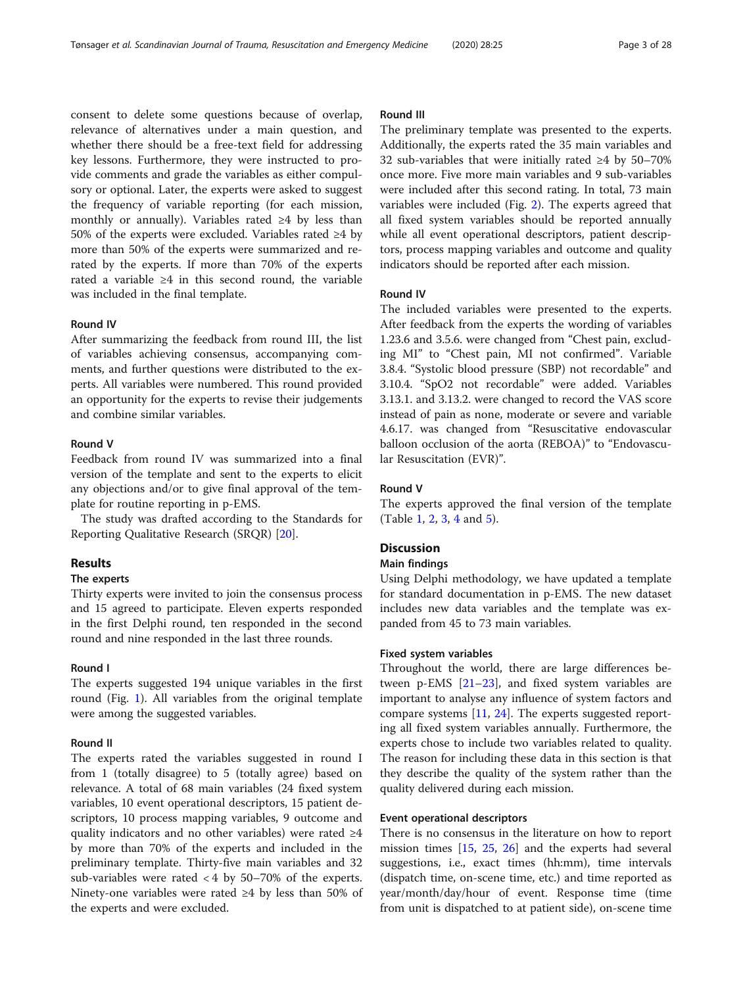consent to delete some questions because of overlap, relevance of alternatives under a main question, and whether there should be a free-text field for addressing key lessons. Furthermore, they were instructed to provide comments and grade the variables as either compulsory or optional. Later, the experts were asked to suggest the frequency of variable reporting (for each mission, monthly or annually). Variables rated  $\geq 4$  by less than 50% of the experts were excluded. Variables rated ≥4 by more than 50% of the experts were summarized and rerated by the experts. If more than 70% of the experts rated a variable ≥4 in this second round, the variable was included in the final template.

#### Round IV

After summarizing the feedback from round III, the list of variables achieving consensus, accompanying comments, and further questions were distributed to the experts. All variables were numbered. This round provided an opportunity for the experts to revise their judgements and combine similar variables.

# Round V

Feedback from round IV was summarized into a final version of the template and sent to the experts to elicit any objections and/or to give final approval of the template for routine reporting in p-EMS.

The study was drafted according to the Standards for Reporting Qualitative Research (SRQR) [\[20\]](#page-27-0).

# Results

#### The experts

Thirty experts were invited to join the consensus process and 15 agreed to participate. Eleven experts responded in the first Delphi round, ten responded in the second round and nine responded in the last three rounds.

# Round I

The experts suggested 194 unique variables in the first round (Fig. [1\)](#page-3-0). All variables from the original template were among the suggested variables.

## Round II

The experts rated the variables suggested in round I from 1 (totally disagree) to 5 (totally agree) based on relevance. A total of 68 main variables (24 fixed system variables, 10 event operational descriptors, 15 patient descriptors, 10 process mapping variables, 9 outcome and quality indicators and no other variables) were rated  $\geq 4$ by more than 70% of the experts and included in the preliminary template. Thirty-five main variables and 32 sub-variables were rated  $<$  4 by 50–70% of the experts. Ninety-one variables were rated ≥4 by less than 50% of the experts and were excluded.

# Round III

The preliminary template was presented to the experts. Additionally, the experts rated the 35 main variables and 32 sub-variables that were initially rated ≥4 by 50–70% once more. Five more main variables and 9 sub-variables were included after this second rating. In total, 73 main variables were included (Fig. [2\)](#page-4-0). The experts agreed that all fixed system variables should be reported annually while all event operational descriptors, patient descriptors, process mapping variables and outcome and quality indicators should be reported after each mission.

#### Round IV

The included variables were presented to the experts. After feedback from the experts the wording of variables 1.23.6 and 3.5.6. were changed from "Chest pain, excluding MI" to "Chest pain, MI not confirmed". Variable 3.8.4. "Systolic blood pressure (SBP) not recordable" and 3.10.4. "SpO2 not recordable" were added. Variables 3.13.1. and 3.13.2. were changed to record the VAS score instead of pain as none, moderate or severe and variable 4.6.17. was changed from "Resuscitative endovascular balloon occlusion of the aorta (REBOA)" to "Endovascular Resuscitation (EVR)".

# Round V

The experts approved the final version of the template (Table [1,](#page-5-0) [2,](#page-9-0) [3,](#page-14-0) [4](#page-18-0) and [5\)](#page-23-0).

#### **Discussion**

# Main findings

Using Delphi methodology, we have updated a template for standard documentation in p-EMS. The new dataset includes new data variables and the template was expanded from 45 to 73 main variables.

#### Fixed system variables

Throughout the world, there are large differences between p-EMS [\[21](#page-27-0)–[23\]](#page-27-0), and fixed system variables are important to analyse any influence of system factors and compare systems [\[11](#page-26-0), [24](#page-27-0)]. The experts suggested reporting all fixed system variables annually. Furthermore, the experts chose to include two variables related to quality. The reason for including these data in this section is that they describe the quality of the system rather than the quality delivered during each mission.

#### Event operational descriptors

There is no consensus in the literature on how to report mission times [\[15](#page-27-0), [25,](#page-27-0) [26](#page-27-0)] and the experts had several suggestions, i.e., exact times (hh:mm), time intervals (dispatch time, on-scene time, etc.) and time reported as year/month/day/hour of event. Response time (time from unit is dispatched to at patient side), on-scene time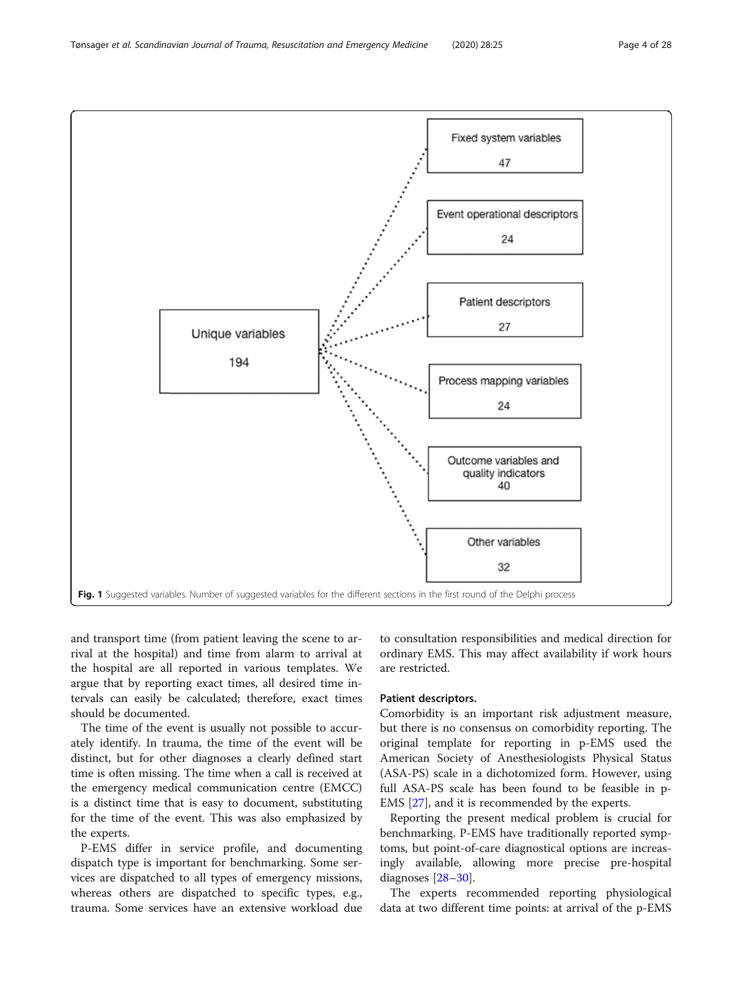<span id="page-3-0"></span>Tønsager et al. Scandinavian Journal of Trauma, Resuscitation and Emergency Medicine (2020) 28:25 Page 4 of 28



and transport time (from patient leaving the scene to arrival at the hospital) and time from alarm to arrival at the hospital are all reported in various templates. We argue that by reporting exact times, all desired time intervals can easily be calculated; therefore, exact times should be documented.

The time of the event is usually not possible to accurately identify. In trauma, the time of the event will be distinct, but for other diagnoses a clearly defined start time is often missing. The time when a call is received at the emergency medical communication centre (EMCC) is a distinct time that is easy to document, substituting for the time of the event. This was also emphasized by the experts.

P-EMS differ in service profile, and documenting dispatch type is important for benchmarking. Some services are dispatched to all types of emergency missions, whereas others are dispatched to specific types, e.g., trauma. Some services have an extensive workload due

to consultation responsibilities and medical direction for ordinary EMS. This may affect availability if work hours are restricted.

#### Patient descriptors.

Comorbidity is an important risk adjustment measure, but there is no consensus on comorbidity reporting. The original template for reporting in p-EMS used the American Society of Anesthesiologists Physical Status (ASA-PS) scale in a dichotomized form. However, using full ASA-PS scale has been found to be feasible in p-EMS [\[27](#page-27-0)], and it is recommended by the experts.

Reporting the present medical problem is crucial for benchmarking. P-EMS have traditionally reported symptoms, but point-of-care diagnostical options are increasingly available, allowing more precise pre-hospital diagnoses [\[28](#page-27-0)–[30\]](#page-27-0).

The experts recommended reporting physiological data at two different time points: at arrival of the p-EMS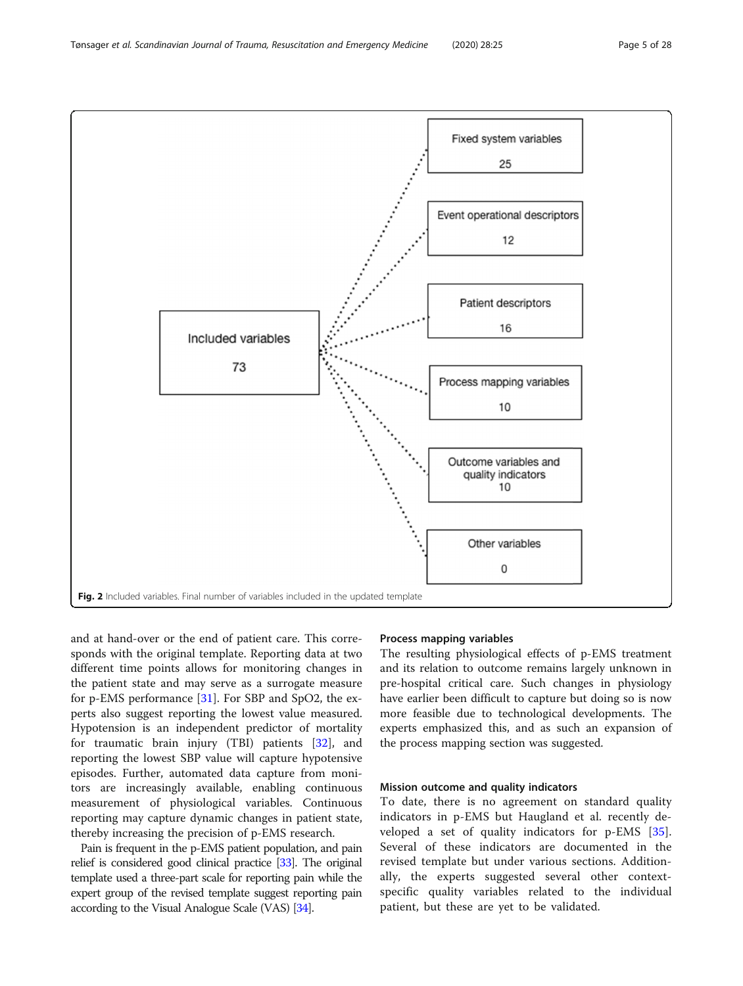<span id="page-4-0"></span>Tønsager et al. Scandinavian Journal of Trauma, Resuscitation and Emergency Medicine (2020) 28:25 Page 5 of 28



and at hand-over or the end of patient care. This corresponds with the original template. Reporting data at two different time points allows for monitoring changes in the patient state and may serve as a surrogate measure for p-EMS performance [[31\]](#page-27-0). For SBP and SpO2, the experts also suggest reporting the lowest value measured. Hypotension is an independent predictor of mortality for traumatic brain injury (TBI) patients [\[32\]](#page-27-0), and reporting the lowest SBP value will capture hypotensive episodes. Further, automated data capture from monitors are increasingly available, enabling continuous measurement of physiological variables. Continuous reporting may capture dynamic changes in patient state, thereby increasing the precision of p-EMS research.

Pain is frequent in the p-EMS patient population, and pain relief is considered good clinical practice [\[33\]](#page-27-0). The original template used a three-part scale for reporting pain while the expert group of the revised template suggest reporting pain according to the Visual Analogue Scale (VAS) [\[34](#page-27-0)].

# Process mapping variables

The resulting physiological effects of p-EMS treatment and its relation to outcome remains largely unknown in pre-hospital critical care. Such changes in physiology have earlier been difficult to capture but doing so is now more feasible due to technological developments. The experts emphasized this, and as such an expansion of the process mapping section was suggested.

### Mission outcome and quality indicators

To date, there is no agreement on standard quality indicators in p-EMS but Haugland et al. recently developed a set of quality indicators for p-EMS [\[35](#page-27-0)]. Several of these indicators are documented in the revised template but under various sections. Additionally, the experts suggested several other contextspecific quality variables related to the individual patient, but these are yet to be validated.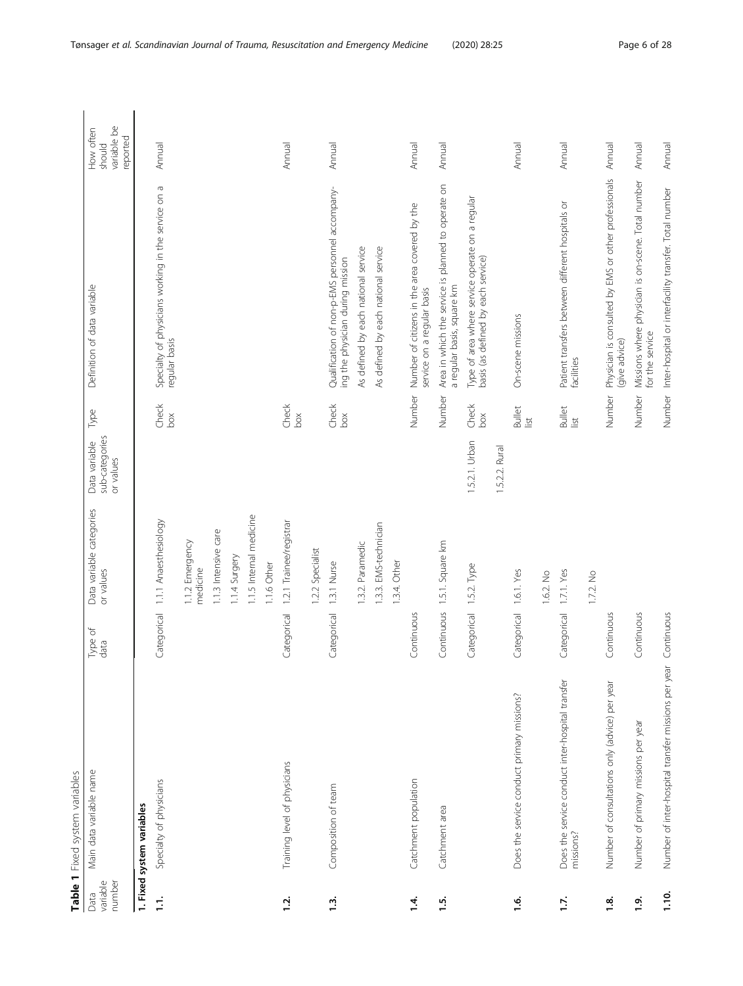<span id="page-5-0"></span>

|                            | Table 1 Fixed system variables                                |                 |                                       |                                              |                          |                                                                                       |                                                |
|----------------------------|---------------------------------------------------------------|-----------------|---------------------------------------|----------------------------------------------|--------------------------|---------------------------------------------------------------------------------------|------------------------------------------------|
| variable<br>number<br>Data | Main data variable name                                       | Type of<br>data | Data variable categories<br>or values | sub-categories<br>Data variable<br>or values | Type                     | Definition of data variable                                                           | variable be<br>How often<br>reported<br>should |
|                            | 1. Fixed system variables                                     |                 |                                       |                                              |                          |                                                                                       |                                                |
| É                          | Specialty of physicians                                       | Categorical     | 1.1.1 Anaesthesiology                 |                                              | Check<br>50 <sub>0</sub> | Specialty of physicians working in the service on a<br>regular basis                  | Annual                                         |
|                            |                                                               |                 | 1.1.2 Emergency<br>medicine           |                                              |                          |                                                                                       |                                                |
|                            |                                                               |                 | 1.1.3 Intensive care                  |                                              |                          |                                                                                       |                                                |
|                            |                                                               |                 | 1.1.4 Surgery                         |                                              |                          |                                                                                       |                                                |
|                            |                                                               |                 | 1.1.5 Internal medicine               |                                              |                          |                                                                                       |                                                |
|                            |                                                               |                 | 1.1.6 Other                           |                                              |                          |                                                                                       |                                                |
| <u>12</u> .                | Training level of physicians                                  | Categorical     | 1.2.1 Trainee/registran               |                                              | Check<br>60 <sub>o</sub> |                                                                                       | Annual                                         |
|                            |                                                               |                 | 1.2.2 Specialist                      |                                              |                          |                                                                                       |                                                |
| $\frac{3}{2}$              | Composition of team                                           | Categorical     | 1.3.1 Nurse                           |                                              | Check<br>box             | Qualification of non-p-EMS personnel accompany-<br>ing the physician during mission   | Annual                                         |
|                            |                                                               |                 | 1.3.2. Paramedic                      |                                              |                          | As defined by each national service                                                   |                                                |
|                            |                                                               |                 | 1.3.3. EMS-technician                 |                                              |                          | As defined by each national service                                                   |                                                |
|                            |                                                               |                 | 1.3.4. Other                          |                                              |                          |                                                                                       |                                                |
| 14                         | Catchment population                                          | Continuous      |                                       |                                              | Number                   | Number of citizens in the area covered by the<br>service on a regular basis           | Annual                                         |
| 1.5                        | Catchment area                                                | Continuous      | 1.5.1. Square km                      |                                              | Number                   | Area in which the service is planned to operate on<br>a regular basis, square km      | Annual                                         |
|                            |                                                               | Categorical     | 1.5.2. Type                           | 1.5.2.1. Urban                               | Check<br>box             | Type of area where service operate on a regular<br>basis (as defined by each service) |                                                |
|                            |                                                               |                 |                                       | 1.5.2.2. Rural                               |                          |                                                                                       |                                                |
| $\frac{6}{1}$              | Does the service conduct primary missions?                    | Categorical     | 1.6.1. Yes                            |                                              | <b>Bullet</b><br>list    | On-scene missions                                                                     | Annual                                         |
|                            |                                                               |                 | 1.6.2. No                             |                                              |                          |                                                                                       |                                                |
| 1.7.                       | Does the service conduct inter-hospital transfer<br>missions? | Categorical     | 1.7.1. Yes                            |                                              | <b>Bullet</b><br>list    | Patient transfers between different hospitals or<br>facilities                        | Annual                                         |
|                            |                                                               |                 | 1.7.2. No                             |                                              |                          |                                                                                       |                                                |
| $\ddot{a}$                 | Number of consultations only (advice) per year                | Continuous      |                                       |                                              | Number                   | Physician is consulted by EMS or other professionals<br>(give advice)                 | Annual                                         |
| 1.9                        | Number of primary missions per year                           | Continuous      |                                       |                                              | Number                   | Missions where physician is on-scene. Total number<br>for the service                 | Annual                                         |
| 1.10.                      | Number of inter-hospital transfer missions per year           | Continuous      |                                       |                                              | Number                   | Inter-hospital or interfacility transfer. Total number                                | Annual                                         |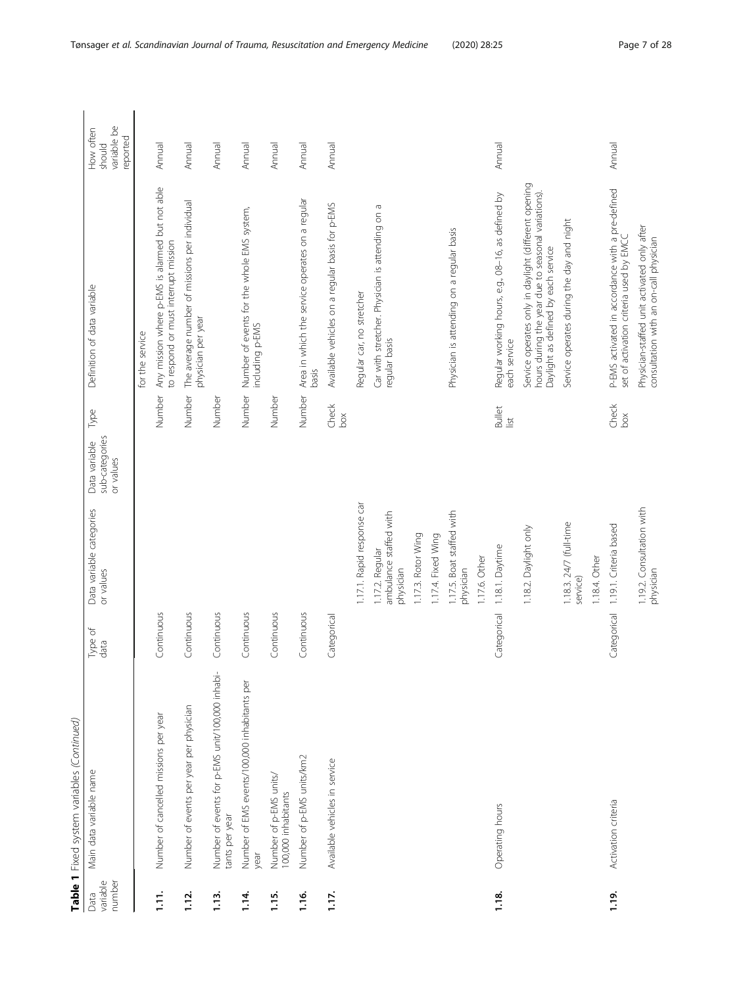|                            | Table 1 Fixed system variables (Continued)                        |                 |                                                        |                                              |                          |                                                                                                                                                   |                                                |
|----------------------------|-------------------------------------------------------------------|-----------------|--------------------------------------------------------|----------------------------------------------|--------------------------|---------------------------------------------------------------------------------------------------------------------------------------------------|------------------------------------------------|
| variable<br>number<br>Data | Main data variable name                                           | Type of<br>data | Data variable categories<br>or values                  | sub-categories<br>Data variable<br>or values | Type                     | Definition of data variable                                                                                                                       | variable be<br>How often<br>reported<br>should |
|                            |                                                                   |                 |                                                        |                                              |                          | for the service                                                                                                                                   |                                                |
| $\frac{1}{2}$              | Number of cancelled missions per year                             | Continuous      |                                                        |                                              | Number                   | Any mission where p-EMS is alarmed but not able<br>to respond or must interrupt mission                                                           | Annual                                         |
| $\frac{1}{2}$              | Number of events per year per physician                           | Continuous      |                                                        |                                              | Number                   | The average number of missions per individual<br>physician per year                                                                               | Annual                                         |
| $\frac{3}{1}$              | Number of events for p-EMS unit/100,000 inhabi-<br>tants per year | Continuous      |                                                        |                                              | Number                   |                                                                                                                                                   | Annual                                         |
| 114.                       | Number of EMS events/100,000 inhabitants per<br>year              | Continuous      |                                                        |                                              | Number                   | Number of events for the whole EMS system,<br>including p-EMS                                                                                     | Annual                                         |
| $\frac{15}{1}$             | Number of p-EMS units,<br>100,000 inhabitants                     | Continuous      |                                                        |                                              | Number                   |                                                                                                                                                   | Annual                                         |
| $\frac{6}{1}$              | Number of p-EMS units/km2                                         | Continuous      |                                                        |                                              | Number                   | Area in which the service operates on a regular<br>basis                                                                                          | Annual                                         |
| 1.17.                      | Available vehicles in service                                     | Categorical     |                                                        |                                              | Check<br>60 <sup>2</sup> | Available vehicles on a regular basis for p-EMS                                                                                                   | Annual                                         |
|                            |                                                                   |                 | 1.17.1. Rapid response car                             |                                              |                          | Regular car, no stretcher                                                                                                                         |                                                |
|                            |                                                                   |                 | ambulance staffed with<br>1.17.2. Regular<br>physician |                                              |                          | Car with stretcher. Physician is attending on a<br>regular basis                                                                                  |                                                |
|                            |                                                                   |                 | 1.17.3. Rotor Wing                                     |                                              |                          |                                                                                                                                                   |                                                |
|                            |                                                                   |                 | 1.17.4. Fixed Wing                                     |                                              |                          |                                                                                                                                                   |                                                |
|                            |                                                                   |                 | 1.17.5. Boat staffed with<br>physician                 |                                              |                          | Physician is attending on a regular basis                                                                                                         |                                                |
|                            |                                                                   |                 | 1.17.6. Other                                          |                                              |                          |                                                                                                                                                   |                                                |
| $1.18$ .                   | Operating hours                                                   | Categorical     | 1.18.1. Daytime                                        |                                              | <b>Bullet</b><br>list    | Regular working hours, e.g., 08-16, as defined by<br>each service                                                                                 | Annual                                         |
|                            |                                                                   |                 | 1.18.2. Daylight only                                  |                                              |                          | Service operates only in daylight (different opening<br>hours during the year due to seasonal variations).<br>Daylight as defined by each service |                                                |
|                            |                                                                   |                 | 1.18.3. 24/7 (full-time<br>service)                    |                                              |                          | Service operates during the day and night                                                                                                         |                                                |
|                            |                                                                   |                 | 1.18.4. Other                                          |                                              |                          |                                                                                                                                                   |                                                |
| 1.19.                      | Activation criteria                                               | Categorical     | 1.19.1. Criteria based                                 |                                              | Check<br>50 <sub>X</sub> | P-EMS activated in accordance with a pre-defined<br>set of activation criteria used by EMCC                                                       | Annual                                         |
|                            |                                                                   |                 | 1.19.2. Consultation with<br>physician                 |                                              |                          | Physician-staffed unit activated only after<br>consultation with an on-call physician                                                             |                                                |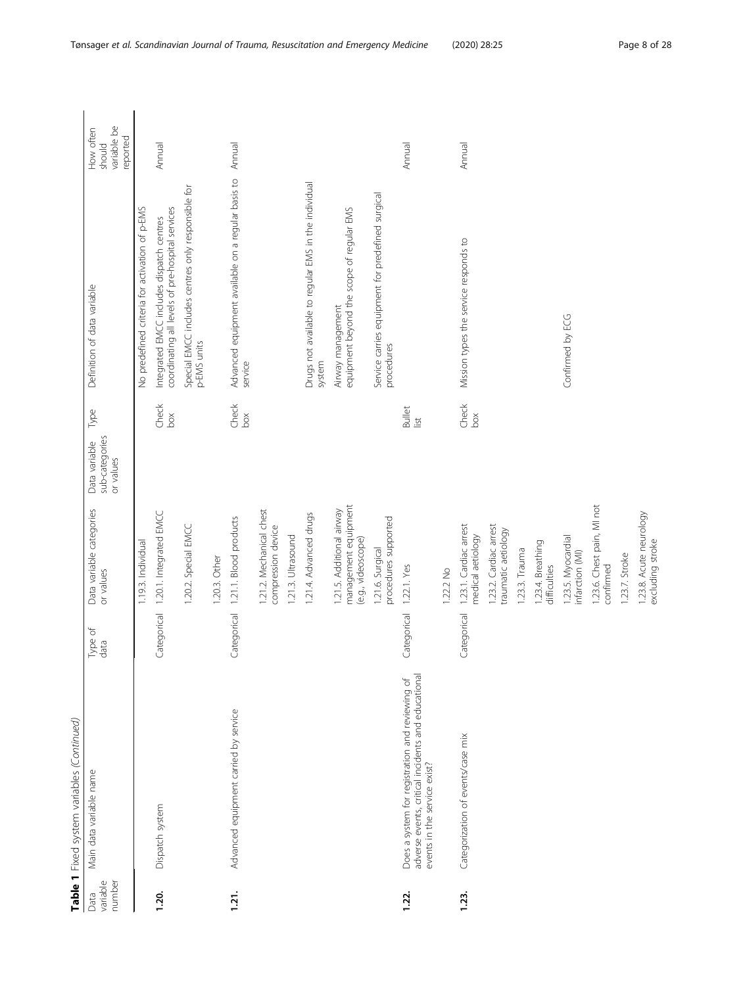|                            | Table 1 Fixed system variables (Continued)                                                                                            |                 |                                                                         |                                                      |                                                                                               |                                                |
|----------------------------|---------------------------------------------------------------------------------------------------------------------------------------|-----------------|-------------------------------------------------------------------------|------------------------------------------------------|-----------------------------------------------------------------------------------------------|------------------------------------------------|
| variable<br>number<br>Data | Main data variable name                                                                                                               | Type of<br>data | Data variable categories<br>or values                                   | Type<br>sub-categories<br>Data variable<br>or values | Definition of data variable                                                                   | variable be<br>How often<br>reported<br>should |
|                            |                                                                                                                                       |                 | 1.19.3. Individual                                                      |                                                      | No predefined criteria for activation of p-EMS                                                |                                                |
| 1.20.                      | Dispatch system                                                                                                                       | Categorical     | 1.20.1. Integrated EMCC                                                 | Check<br>box                                         | Integrated EMCC includes dispatch centres<br>coordinating all levels of pre-hospital services | Annual                                         |
|                            |                                                                                                                                       |                 | 1.20.2. Special EMCC                                                    |                                                      | Special EMCC includes centres only responsible for<br>p-EMS units                             |                                                |
|                            |                                                                                                                                       |                 | 1.20.3. Other                                                           |                                                      |                                                                                               |                                                |
| 1.21.                      | Advanced equipment carried by service                                                                                                 | Categorical     | 1.21.1. Blood products                                                  | Check<br>box                                         | Advanced equipment available on a regular basis to<br>service                                 | Annual                                         |
|                            |                                                                                                                                       |                 | 1.21.2. Mechanical chest<br>compression device                          |                                                      |                                                                                               |                                                |
|                            |                                                                                                                                       |                 | 1.21.3. Ultrasound                                                      |                                                      |                                                                                               |                                                |
|                            |                                                                                                                                       |                 | 1.21.4. Advanced drugs                                                  |                                                      | Drugs not available to regular EMS in the individual<br>system                                |                                                |
|                            |                                                                                                                                       |                 | management equipment<br>1.21.5. Additional airway<br>(e.g., videoscope) |                                                      | equipment beyond the scope of regular EMS<br>Airway management                                |                                                |
|                            |                                                                                                                                       |                 | procedures supported<br>1.21.6. Surgical                                |                                                      | Service carries equipment for predefined surgical<br>procedures                               |                                                |
| 1.22.                      | adverse events, critical incidents and educational<br>Does a system for registration and reviewing of<br>events in the service exist? | Categorical     | 1.22.1. Yes                                                             | <b>Bullet</b><br>$\frac{1}{2}$                       |                                                                                               | Annual                                         |
|                            |                                                                                                                                       |                 | 1.22.2 No                                                               |                                                      |                                                                                               |                                                |
| 1.23.                      | Categorization of events/case mix                                                                                                     | Categorical     | 1.23.1. Cardiac arrest<br>medical aetiology                             | Check<br>box                                         | Mission types the service responds to                                                         | Annual                                         |
|                            |                                                                                                                                       |                 | 1.23.2. Cardiac arrest<br>traumatic aetiology                           |                                                      |                                                                                               |                                                |
|                            |                                                                                                                                       |                 | 1.23.3. Trauma                                                          |                                                      |                                                                                               |                                                |
|                            |                                                                                                                                       |                 | 1.23.4. Breathing<br>difficulties                                       |                                                      |                                                                                               |                                                |
|                            |                                                                                                                                       |                 | 1.23.5. Myocardial<br>infarction (MI)                                   |                                                      | Confirmed by ECG                                                                              |                                                |
|                            |                                                                                                                                       |                 | 1.23.6. Chest pain, MI not<br>confirmed                                 |                                                      |                                                                                               |                                                |
|                            |                                                                                                                                       |                 | 1.23.7. Stroke                                                          |                                                      |                                                                                               |                                                |
|                            |                                                                                                                                       |                 | 1.23.8. Acute neurology<br>excluding stroke                             |                                                      |                                                                                               |                                                |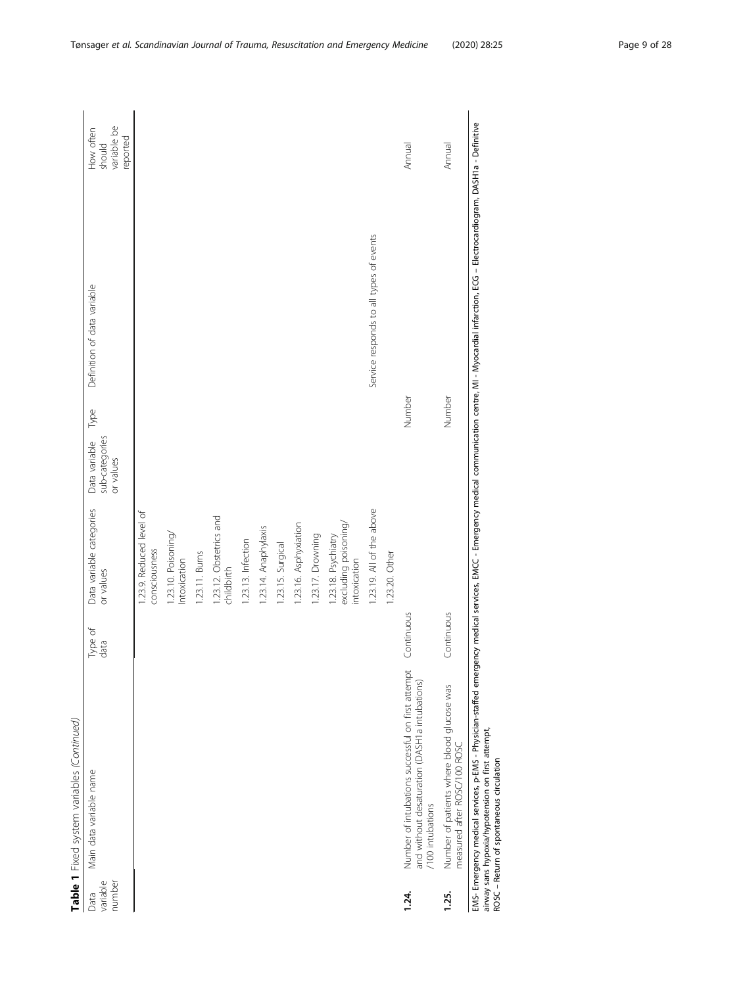|                            | Table 1 Fixed system variables (Continued)                                                                                                                                                                                                                                                                      |                 |                                                             |                                              |        |                                         |                                                |
|----------------------------|-----------------------------------------------------------------------------------------------------------------------------------------------------------------------------------------------------------------------------------------------------------------------------------------------------------------|-----------------|-------------------------------------------------------------|----------------------------------------------|--------|-----------------------------------------|------------------------------------------------|
| variable<br>number<br>Data | Main data variable name                                                                                                                                                                                                                                                                                         | Type of<br>data | Data variable categories<br>or values                       | sub-categories<br>Data variable<br>or values | Type   | Definition of data variable             | variable be<br>How often<br>reported<br>should |
|                            |                                                                                                                                                                                                                                                                                                                 |                 | 1.23.9. Reduced level of<br>consciousness                   |                                              |        |                                         |                                                |
|                            |                                                                                                                                                                                                                                                                                                                 |                 | 1.23.10. Poisoning/<br>Intoxication                         |                                              |        |                                         |                                                |
|                            |                                                                                                                                                                                                                                                                                                                 |                 | 1.23.11. Burns                                              |                                              |        |                                         |                                                |
|                            |                                                                                                                                                                                                                                                                                                                 |                 | 1.23.12. Obstetrics and<br>childbirth                       |                                              |        |                                         |                                                |
|                            |                                                                                                                                                                                                                                                                                                                 |                 | 1.23.13. Infection                                          |                                              |        |                                         |                                                |
|                            |                                                                                                                                                                                                                                                                                                                 |                 | 1.23.14. Anaphylaxis                                        |                                              |        |                                         |                                                |
|                            |                                                                                                                                                                                                                                                                                                                 |                 | 1.23.15. Surgical                                           |                                              |        |                                         |                                                |
|                            |                                                                                                                                                                                                                                                                                                                 |                 | 1.23.16. Asphyxiation                                       |                                              |        |                                         |                                                |
|                            |                                                                                                                                                                                                                                                                                                                 |                 | 1.23.17. Drowning                                           |                                              |        |                                         |                                                |
|                            |                                                                                                                                                                                                                                                                                                                 |                 | excluding poisoning/<br>1.23.18. Psychiatry<br>intoxication |                                              |        |                                         |                                                |
|                            |                                                                                                                                                                                                                                                                                                                 |                 | 1.23.19. All of the above                                   |                                              |        | Service responds to all types of events |                                                |
|                            |                                                                                                                                                                                                                                                                                                                 |                 | 1.23.20. Other                                              |                                              |        |                                         |                                                |
| 1.24.                      | Number of intubations successful on first attempt<br>and without desaturation (DASH1 a intubations)<br>/100 intubations                                                                                                                                                                                         | Continuous      |                                                             |                                              | Number |                                         | Annual                                         |
| 1.25.                      | Number of patients where blood glucose was<br>measured after ROSC/100 ROSC                                                                                                                                                                                                                                      | Continuous      |                                                             |                                              | Number |                                         | Annual                                         |
|                            | EMS- Emergency medical services, p-EMS - Physician-staffed emergency medical services, EMCC - Emergency medical communication centre, MI - Myocardial infarction, ECG – Electrocardiogram, DASH1a - Definitive<br>airway sans hypoxia/hypotension on first attempt,<br>ROSC - Return of spontaneous circulation |                 |                                                             |                                              |        |                                         |                                                |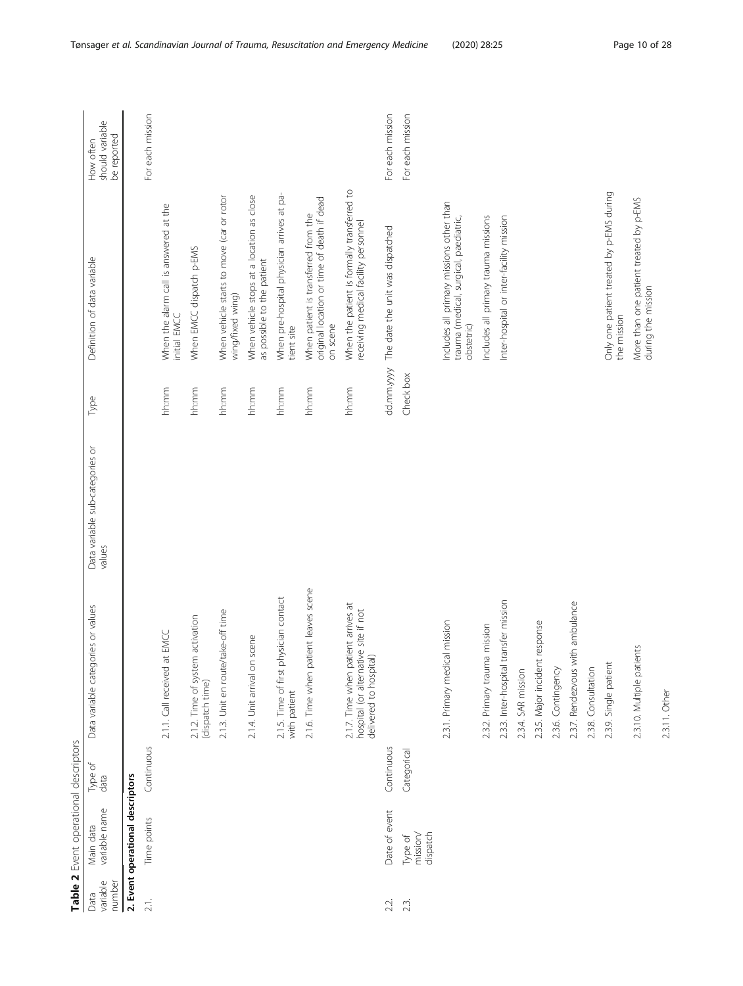<span id="page-9-0"></span>

|                            | Table 2 Event operational descriptors |                 |                                                                                                       |                                           |            |                                                                                                  |                                             |
|----------------------------|---------------------------------------|-----------------|-------------------------------------------------------------------------------------------------------|-------------------------------------------|------------|--------------------------------------------------------------------------------------------------|---------------------------------------------|
| variable<br>number<br>Data | variable name<br>Main data            | Type of<br>data | Data variable categories or values                                                                    | Data variable sub-categories or<br>values | Type       | Definition of data variable                                                                      | should variable<br>be reported<br>How often |
|                            | 2. Event operational descriptors      |                 |                                                                                                       |                                           |            |                                                                                                  |                                             |
| 21.                        | Time points                           | Continuous      |                                                                                                       |                                           |            |                                                                                                  | For each mission                            |
|                            |                                       |                 | 2.1.1. Call received at EMCC                                                                          |                                           | hh:mm      | When the alarm call is answered at the<br>initial EMCC                                           |                                             |
|                            |                                       |                 | 2.1.2. Time of system activation<br>(dispatch time)                                                   |                                           | hh:mm      | When EMCC dispatch p-EMS                                                                         |                                             |
|                            |                                       |                 | 2.1.3. Unit en route/take-off time                                                                    |                                           | hh:mm      | When vehicle starts to move (car or rotor<br>wing/fixed wing)                                    |                                             |
|                            |                                       |                 | scene<br>2.1.4. Unit arrival on                                                                       |                                           | hh:mm      | When vehicle stops at a location as close<br>as possible to the patient                          |                                             |
|                            |                                       |                 | 2.1.5. Time of first physician contact<br>with patient                                                |                                           | hh:mm      | When pre-hospital physician arrives at pa-<br>tient site                                         |                                             |
|                            |                                       |                 | 2.1.6. Time when patient leaves scene                                                                 |                                           | hh:mm      | original location or time of death if dead<br>When patient is transferred from the<br>on scene   |                                             |
|                            |                                       |                 | 2.1.7. Time when patient arrives at<br>hospital (or alternative site if not<br>delivered to hospital) |                                           | hh:mm      | When the patient is formally transferred to<br>receiving medical facility personnel              |                                             |
| 2.2.                       | Date of event                         | Continuous      |                                                                                                       |                                           | dd.mm.yyyy | The date the unit was dispatched                                                                 | For each mission                            |
| 23.                        | mission<br>dispatch<br>Type of        | Categorical     |                                                                                                       |                                           | Check box  |                                                                                                  | For each mission                            |
|                            |                                       |                 | 2.3.1. Primary medical mission                                                                        |                                           |            | Includes all primary missions other than<br>trauma (medical, surgical, paediatric,<br>obstetric) |                                             |
|                            |                                       |                 | 2.3.2. Primary trauma mission                                                                         |                                           |            | Includes all primary trauma missions                                                             |                                             |
|                            |                                       |                 | 2.3.3. Inter-hospital transfer mission                                                                |                                           |            | Inter-hospital or inter-facility mission                                                         |                                             |
|                            |                                       |                 | 2.3.4. SAR mission                                                                                    |                                           |            |                                                                                                  |                                             |
|                            |                                       |                 | response<br>2.3.5. Major incident                                                                     |                                           |            |                                                                                                  |                                             |
|                            |                                       |                 | 2.3.6. Contingency                                                                                    |                                           |            |                                                                                                  |                                             |
|                            |                                       |                 | 2.3.7. Rendezvous with ambulance                                                                      |                                           |            |                                                                                                  |                                             |
|                            |                                       |                 | 2.3.8. Consultation                                                                                   |                                           |            |                                                                                                  |                                             |
|                            |                                       |                 | 2.3.9. Single patient                                                                                 |                                           |            | Only one patient treated by p-EMS during<br>the mission                                          |                                             |
|                            |                                       |                 | 2.3.10. Multiple patients                                                                             |                                           |            | More than one patient treated by p-EMS<br>during the mission                                     |                                             |
|                            |                                       |                 | 2.3.11. Other                                                                                         |                                           |            |                                                                                                  |                                             |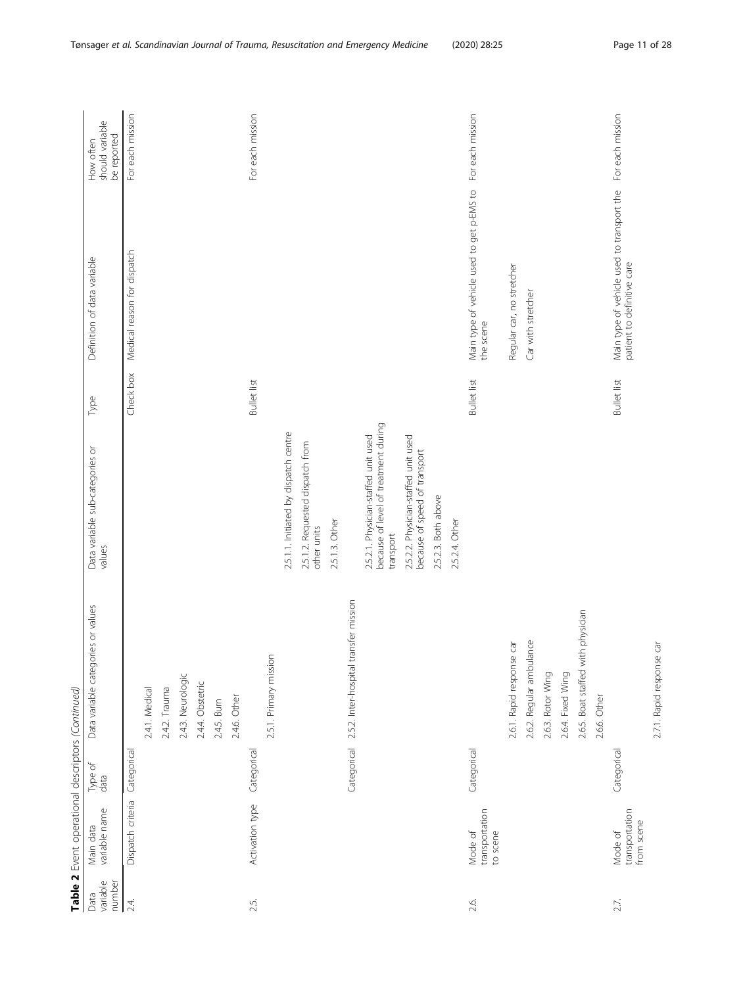|                            | Table 2 Event operational descriptors (Continued) |                 |                                                  |                                                                              |                                                                          |                                             |
|----------------------------|---------------------------------------------------|-----------------|--------------------------------------------------|------------------------------------------------------------------------------|--------------------------------------------------------------------------|---------------------------------------------|
| variable<br>number<br>Data | variable name<br>Main data                        | Type of<br>data | ies or values<br>Data variable categor           | Type<br>Data variable sub-categories or<br>values                            | Definition of data variable                                              | should variable<br>be reported<br>How often |
| 24.                        | Dispatch criteria                                 | Categorical     |                                                  | Check box                                                                    | Medical reason for dispatch                                              | For each mission                            |
|                            |                                                   |                 | 2.4.1. Medical                                   |                                                                              |                                                                          |                                             |
|                            |                                                   |                 | 2.4.2. Trauma                                    |                                                                              |                                                                          |                                             |
|                            |                                                   |                 | 2.4.3. Neurologic                                |                                                                              |                                                                          |                                             |
|                            |                                                   |                 | 2.4.4. Obstetric                                 |                                                                              |                                                                          |                                             |
|                            |                                                   |                 | 2.4.5. Burn                                      |                                                                              |                                                                          |                                             |
|                            |                                                   |                 | 2.4.6. Other                                     |                                                                              |                                                                          |                                             |
| 2.5.                       | Activation type                                   | Categorical     |                                                  | <b>Bullet</b> list                                                           |                                                                          | For each mission                            |
|                            |                                                   |                 | 2.5.1. Primary mission                           |                                                                              |                                                                          |                                             |
|                            |                                                   |                 |                                                  | 2.5.1.1. Initiated by dispatch centre                                        |                                                                          |                                             |
|                            |                                                   |                 |                                                  | 2.5.1.2. Requested dispatch from<br>other units                              |                                                                          |                                             |
|                            |                                                   |                 |                                                  | 2.5.1.3. Other                                                               |                                                                          |                                             |
|                            |                                                   | Categorical     | 2.5.2. Inter-hospital transfer mission           |                                                                              |                                                                          |                                             |
|                            |                                                   |                 |                                                  | because of level of treatment during<br>2.5.2.1. Physician-staffed unit used |                                                                          |                                             |
|                            |                                                   |                 |                                                  | transport                                                                    |                                                                          |                                             |
|                            |                                                   |                 |                                                  | 2.5.2.2. Physician-staffed unit used<br>because of speed of transport        |                                                                          |                                             |
|                            |                                                   |                 |                                                  | 2.5.2.3. Both above                                                          |                                                                          |                                             |
|                            |                                                   |                 |                                                  | 2.5.2.4. Other                                                               |                                                                          |                                             |
| 2.6.                       | transportation<br>Mode of<br>to scene             | Categorical     |                                                  | <b>Bullet</b> list                                                           | Main type of vehicle used to get p-EMS to<br>the scene                   | For each mission                            |
|                            |                                                   |                 | $\overline{\texttt{G}}$<br>2.6.1. Rapid response |                                                                              | Regular car, no stretcher                                                |                                             |
|                            |                                                   |                 | 2.6.2. Regular ambulance                         |                                                                              | Car with stretcher                                                       |                                             |
|                            |                                                   |                 | 2.6.3. Rotor Wing                                |                                                                              |                                                                          |                                             |
|                            |                                                   |                 | 2.6.4. Fixed Wing                                |                                                                              |                                                                          |                                             |
|                            |                                                   |                 | 2.6.5. Boat staffed with physician               |                                                                              |                                                                          |                                             |
|                            |                                                   |                 | 2.6.6. Other                                     |                                                                              |                                                                          |                                             |
| 2.7.                       | transportation<br>from scene<br>Mode of           | Categorical     |                                                  | <b>Bullet</b> list                                                           | Main type of vehicle used to transport the<br>patient to definitive care | For each mission                            |
|                            |                                                   |                 | đ<br>2.7.1. Rapid response                       |                                                                              |                                                                          |                                             |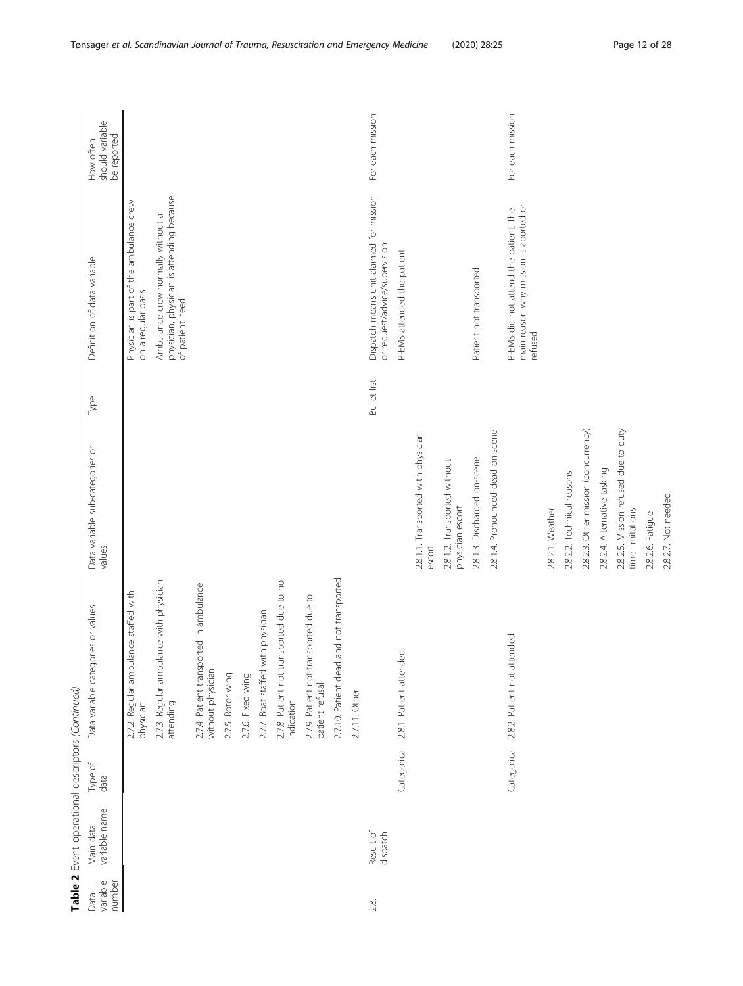| Data               | Table 2 Event operational descriptors (Continued)<br>Main data | Type of     |                                                              | Data variable sub-categories or                          |                    | Definition of data variable                                                                       | How often                      |
|--------------------|----------------------------------------------------------------|-------------|--------------------------------------------------------------|----------------------------------------------------------|--------------------|---------------------------------------------------------------------------------------------------|--------------------------------|
| variable<br>number | variable name                                                  | data        | Data variable categories or values                           | values                                                   | Type               |                                                                                                   | should variable<br>be reported |
|                    |                                                                |             | 2.7.2. Regular ambulance staffed with<br>physician           |                                                          |                    | Physician is part of the ambulance crew<br>on a regular basis                                     |                                |
|                    |                                                                |             | 2.7.3. Regular ambulance with physician<br>attending         |                                                          |                    | physician, physician is attending because<br>Ambulance crew normally without a<br>of patient need |                                |
|                    |                                                                |             | 2.7.4. Patient transported in ambulance<br>without physician |                                                          |                    |                                                                                                   |                                |
|                    |                                                                |             | 2.7.5. Rotor wing                                            |                                                          |                    |                                                                                                   |                                |
|                    |                                                                |             | 2.7.6. Fixed wing                                            |                                                          |                    |                                                                                                   |                                |
|                    |                                                                |             | 2.7.7. Boat staffed with physician                           |                                                          |                    |                                                                                                   |                                |
|                    |                                                                |             | 2.7.8. Patient not transported due to no<br>indication       |                                                          |                    |                                                                                                   |                                |
|                    |                                                                |             | 2.7.9. Patient not transported due to<br>patient refusal     |                                                          |                    |                                                                                                   |                                |
|                    |                                                                |             | and not transported<br>2.7.10. Patient dead                  |                                                          |                    |                                                                                                   |                                |
|                    |                                                                |             | 2.7.11. Other                                                |                                                          |                    |                                                                                                   |                                |
| 2.8.               | Result of<br>dispatch                                          |             |                                                              |                                                          | <b>Bullet list</b> | Dispatch means unit alarmed for mission<br>or request/advice/supervision                          | For each mission               |
|                    |                                                                | Categorical | 2.8.1. Patient attended                                      |                                                          |                    | P-EMS attended the patient                                                                        |                                |
|                    |                                                                |             |                                                              | 2.8.1.1. Transported with physician<br>escort            |                    |                                                                                                   |                                |
|                    |                                                                |             |                                                              | 2.8.1.2. Transported without<br>physician escort         |                    |                                                                                                   |                                |
|                    |                                                                |             |                                                              | 2.8.1.3. Discharged on-scene                             |                    | Patient not transported                                                                           |                                |
|                    |                                                                |             |                                                              | 2.8.1.4. Pronounced dead on scene                        |                    |                                                                                                   |                                |
|                    |                                                                | Categorical | 2.8.2. Patient not attended                                  |                                                          |                    | P-EMS did not attend the patient. The<br>main reason why mission is aborted or<br>refused         | For each mission               |
|                    |                                                                |             |                                                              | 2.8.2.1. Weather                                         |                    |                                                                                                   |                                |
|                    |                                                                |             |                                                              | 2.8.2.2. Technical reasons                               |                    |                                                                                                   |                                |
|                    |                                                                |             |                                                              | 2.8.2.3. Other mission (concurrency)                     |                    |                                                                                                   |                                |
|                    |                                                                |             |                                                              | 2.8.2.4. Alternative tasking                             |                    |                                                                                                   |                                |
|                    |                                                                |             |                                                              | 2.8.2.5. Mission refused due to duty<br>time limitations |                    |                                                                                                   |                                |
|                    |                                                                |             |                                                              | 2.8.2.6. Fatigue                                         |                    |                                                                                                   |                                |
|                    |                                                                |             |                                                              | 2.8.2.7. Not needed                                      |                    |                                                                                                   |                                |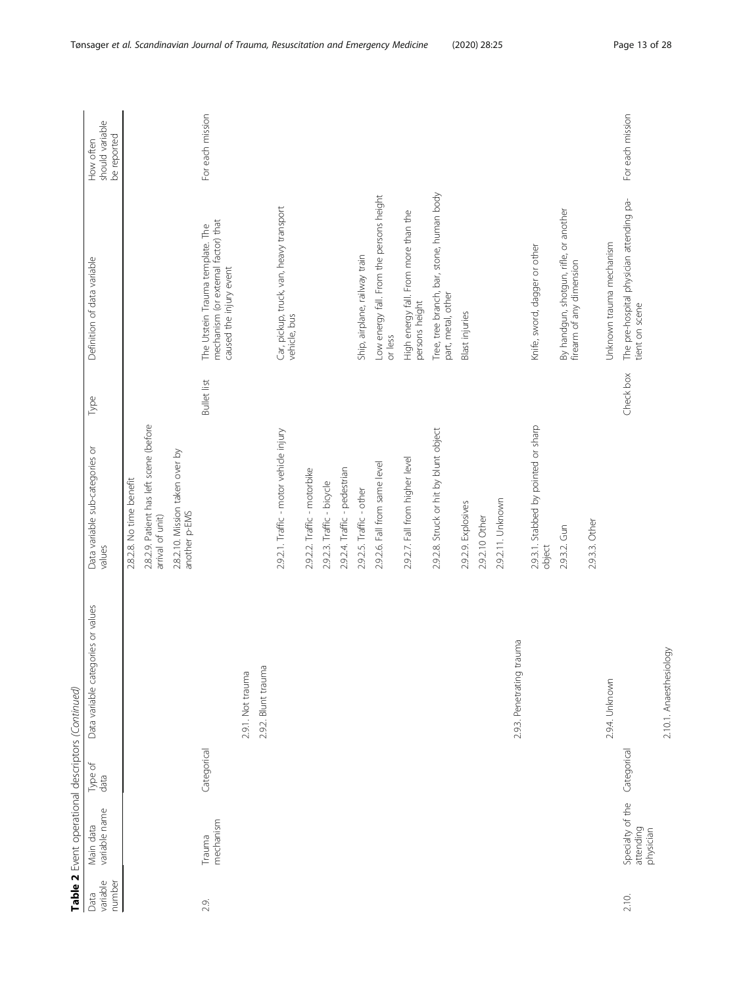|                            | Table 2 Event operational descriptors (Continued) |                 |                                    |                                                             |                                                                                                    |                                             |
|----------------------------|---------------------------------------------------|-----------------|------------------------------------|-------------------------------------------------------------|----------------------------------------------------------------------------------------------------|---------------------------------------------|
| variable<br>number<br>Data | variable name<br>Main data                        | Type of<br>data | Data variable categories or values | Type<br>Data variable sub-categories or<br>values           | Definition of data variable                                                                        | should variable<br>be reported<br>How often |
|                            |                                                   |                 |                                    | 2.8.2.8. No time benefit                                    |                                                                                                    |                                             |
|                            |                                                   |                 |                                    | 2.8.2.9. Patient has left scene (before<br>arrival of unit) |                                                                                                    |                                             |
|                            |                                                   |                 |                                    | 2.8.2.10. Mission taken over by<br>another p-EMS            |                                                                                                    |                                             |
| 2.9.                       | mechanism<br>Trauma                               | Categorical     |                                    | <b>Bullet list</b>                                          | mechanism (or external factor) that<br>The Utstein Trauma template. The<br>caused the injury event | For each mission                            |
|                            |                                                   |                 | 2.9.1. Not trauma                  |                                                             |                                                                                                    |                                             |
|                            |                                                   |                 | 2.9.2. Blunt trauma                |                                                             |                                                                                                    |                                             |
|                            |                                                   |                 |                                    | 2.9.2.1. Traffic - motor vehicle injury                     | Car, pickup, truck, van, heavy transport<br>vehicle, bus                                           |                                             |
|                            |                                                   |                 |                                    | 2.9.2.2. Traffic - motorbike                                |                                                                                                    |                                             |
|                            |                                                   |                 |                                    | 2.92.3. Traffic - bicycle                                   |                                                                                                    |                                             |
|                            |                                                   |                 |                                    | 2.9.2.4. Traffic - pedestrian                               |                                                                                                    |                                             |
|                            |                                                   |                 |                                    | 2.9.2.5. Traffic - other                                    | Ship, airplane, railway train                                                                      |                                             |
|                            |                                                   |                 |                                    | 2.9.2.6. Fall from same level                               | Low energy fall. From the persons height<br>or less                                                |                                             |
|                            |                                                   |                 |                                    | 2.9.2.7. Fall from higher level                             | High energy fall. From more than the<br>persons height                                             |                                             |
|                            |                                                   |                 |                                    | 2.9.2.8. Struck or hit by blunt object                      | Tree, tree branch, bar, stone, human body<br>part, metal, other                                    |                                             |
|                            |                                                   |                 |                                    | 2.9.2.9. Explosives                                         | <b>Blast injuries</b>                                                                              |                                             |
|                            |                                                   |                 |                                    | 2.9.2.10 Other                                              |                                                                                                    |                                             |
|                            |                                                   |                 |                                    | 2.9.2.11. Unknown                                           |                                                                                                    |                                             |
|                            |                                                   |                 | 2.9.3. Penetrating trauma          |                                                             |                                                                                                    |                                             |
|                            |                                                   |                 |                                    | 2.9.3.1. Stabbed by pointed or sharp<br>object              | Knife, sword, dagger or other                                                                      |                                             |
|                            |                                                   |                 |                                    | 2.9.3.2. Gun                                                | By handgun, shotgun, rifle, or another<br>firearm of any dimension                                 |                                             |
|                            |                                                   |                 |                                    | 2.9.3.3. Other                                              |                                                                                                    |                                             |
|                            |                                                   |                 | 2.9.4. Unknown                     |                                                             | Unknown trauma mechanism                                                                           |                                             |
| 2.10.                      | Specialty of the<br>attending<br>physician        | Categorical     |                                    | Check box                                                   | The pre-hospital physician attending pa-<br>tient on scene                                         | For each mission                            |
|                            |                                                   |                 | 2.10.1. Anaesthesiology            |                                                             |                                                                                                    |                                             |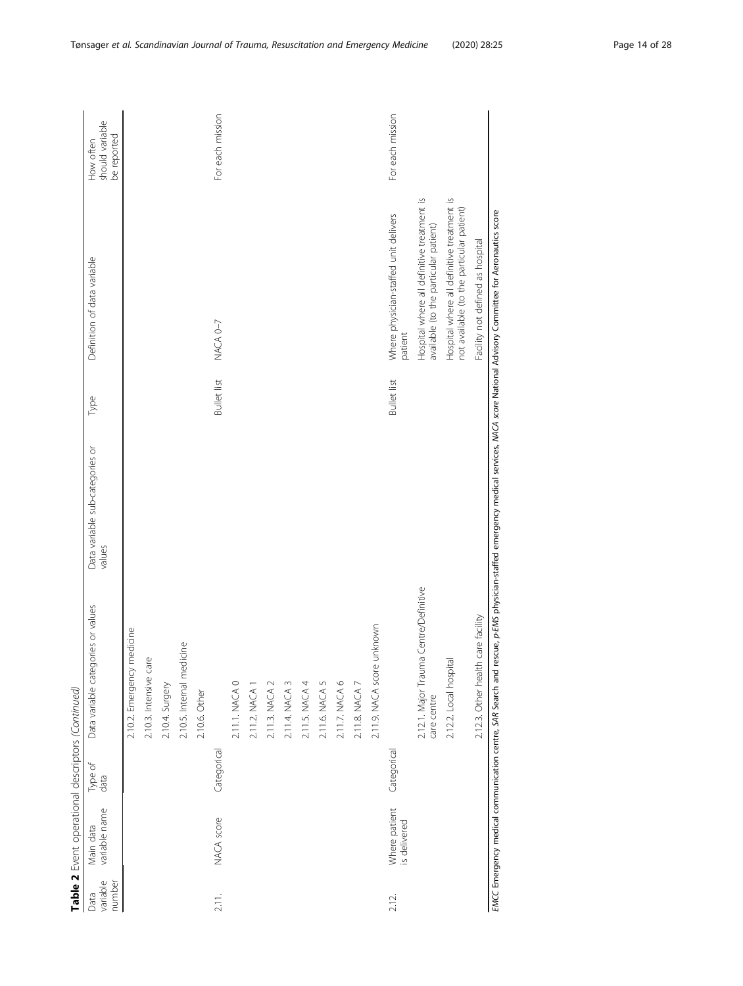|                            | Table 2 Event operational descriptors (Continued) |                 |                                                                                                                                                                                      |                                           |                    |                                                                                         |                                             |
|----------------------------|---------------------------------------------------|-----------------|--------------------------------------------------------------------------------------------------------------------------------------------------------------------------------------|-------------------------------------------|--------------------|-----------------------------------------------------------------------------------------|---------------------------------------------|
| variable<br>number<br>Data | variable name<br>Main data                        | Type of<br>data | Data variable categories or values                                                                                                                                                   | Data variable sub-categories or<br>values | Type               | Definition of data variable                                                             | should variable<br>be reported<br>How often |
|                            |                                                   |                 | medicine<br>2.10.2. Emergency                                                                                                                                                        |                                           |                    |                                                                                         |                                             |
|                            |                                                   |                 | Óλ<br>2.10.3. Intensive car                                                                                                                                                          |                                           |                    |                                                                                         |                                             |
|                            |                                                   |                 | 2.10.4. Surgery                                                                                                                                                                      |                                           |                    |                                                                                         |                                             |
|                            |                                                   |                 | 2.10.5. Internal medicine                                                                                                                                                            |                                           |                    |                                                                                         |                                             |
|                            |                                                   |                 | 2.10.6. Other                                                                                                                                                                        |                                           |                    |                                                                                         |                                             |
| 2.11.                      | NACA score                                        | Categorical     |                                                                                                                                                                                      |                                           | <b>Bullet list</b> | NACA 0-7                                                                                | For each mission                            |
|                            |                                                   |                 | 2.11.1. NACA 0                                                                                                                                                                       |                                           |                    |                                                                                         |                                             |
|                            |                                                   |                 | 2.11.2. NACA 1                                                                                                                                                                       |                                           |                    |                                                                                         |                                             |
|                            |                                                   |                 | 2.11.3. NACA 2                                                                                                                                                                       |                                           |                    |                                                                                         |                                             |
|                            |                                                   |                 | 2.114. NACA 3                                                                                                                                                                        |                                           |                    |                                                                                         |                                             |
|                            |                                                   |                 | 2.11.5. NACA 4                                                                                                                                                                       |                                           |                    |                                                                                         |                                             |
|                            |                                                   |                 | 2.11.6. NACA 5                                                                                                                                                                       |                                           |                    |                                                                                         |                                             |
|                            |                                                   |                 | 2.11.7. NACA 6                                                                                                                                                                       |                                           |                    |                                                                                         |                                             |
|                            |                                                   |                 | 2.11.8. NACA 7                                                                                                                                                                       |                                           |                    |                                                                                         |                                             |
|                            |                                                   |                 | unknown<br>2.11.9. NACA score                                                                                                                                                        |                                           |                    |                                                                                         |                                             |
| 2.12.                      | Where patient<br>is delivered                     | Categorical     |                                                                                                                                                                                      |                                           | <b>Bullet</b> list | Where physician-staffed unit delivers<br>patient                                        | For each mission                            |
|                            |                                                   |                 | 2.12.1. Major Trauma Centre/Definitive<br>care centre                                                                                                                                |                                           |                    | Hospital where all definitive treatment is<br>available (to the particular patient)     |                                             |
|                            |                                                   |                 | 2.12.2. Local hospital                                                                                                                                                               |                                           |                    | Hospital where all definitive treatment is<br>not available (to the particular patient) |                                             |
|                            |                                                   |                 | 2.12.3. Other health care facility                                                                                                                                                   |                                           |                    | Facility not defined as hospital                                                        |                                             |
|                            |                                                   |                 | EMCC Emergency medical communication centre, SAR Search and rescue, p-EMS physician-staffed emergency medical services, MACA score National Advisory Committee for Aeronautics score |                                           |                    |                                                                                         |                                             |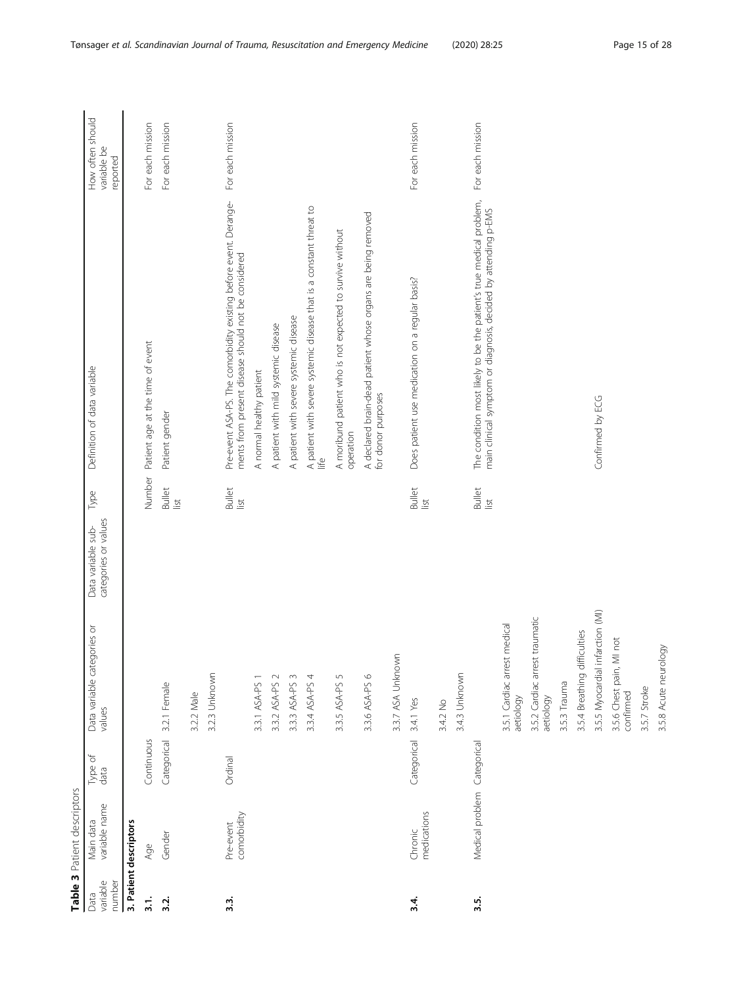<span id="page-14-0"></span>

|                            | Table 3 Patient descriptors |                 |                                             |                                            |                       |                                                                                                                                       |                                             |
|----------------------------|-----------------------------|-----------------|---------------------------------------------|--------------------------------------------|-----------------------|---------------------------------------------------------------------------------------------------------------------------------------|---------------------------------------------|
| variable<br>number<br>Data | variable name<br>Main data  | Type of<br>data | Data variable categories or<br>values       | categories or values<br>Data variable sub- | Type                  | Definition of data variable                                                                                                           | How often should<br>variable be<br>reported |
|                            | 3. Patient descriptors      |                 |                                             |                                            |                       |                                                                                                                                       |                                             |
| $\frac{1}{3}$              | Age                         | Continuous      |                                             |                                            |                       | Number Patient age at the time of event                                                                                               | For each mission                            |
| 3.2.                       | Gender                      | Categorical     | 3.2.1 Female                                |                                            | <b>Bullet</b><br>list | Patient gender                                                                                                                        | For each mission                            |
|                            |                             |                 | 3.2.2 Male                                  |                                            |                       |                                                                                                                                       |                                             |
|                            |                             |                 | 3.2.3 Unknown                               |                                            |                       |                                                                                                                                       |                                             |
| 3.3.                       | comorbidity<br>Pre-event    | Ordinal         |                                             |                                            | <b>Bullet</b><br>list | Pre-event ASA-PS. The comorbidity existing before event. Derange-<br>ments from present disease should not be considered              | For each mission                            |
|                            |                             |                 | 3.3.1 ASA-PS 1                              |                                            |                       | A normal healthy patient                                                                                                              |                                             |
|                            |                             |                 | $\sim$<br>3.3.2 ASA-PS                      |                                            |                       | A patient with mild systemic disease                                                                                                  |                                             |
|                            |                             |                 | $\sim$<br>3.3.3 ASA-PS                      |                                            |                       | A patient with severe systemic disease                                                                                                |                                             |
|                            |                             |                 | 3.3.4 ASA-PS 4                              |                                            |                       | A patient with severe systemic disease that is a constant threat to<br>life                                                           |                                             |
|                            |                             |                 | $\overline{5}$<br>3.3.5 ASA-PS              |                                            |                       | A moribund patient who is not expected to survive without<br>operation                                                                |                                             |
|                            |                             |                 | 3.3.6 ASA-PS 6                              |                                            |                       | A declared brain-dead patient whose organs are being removed<br>for donor purposes                                                    |                                             |
|                            |                             |                 | 3.3.7 ASA Unknown                           |                                            |                       |                                                                                                                                       |                                             |
| 3.4                        | medications<br>Chronic      | Categorical     | 3.4.1 Yes                                   |                                            | <b>Bullet</b><br>list | Does patient use medication on a regular basis?                                                                                       | For each mission                            |
|                            |                             |                 | 3.4.2 No                                    |                                            |                       |                                                                                                                                       |                                             |
|                            |                             |                 | 3.4.3 Unknown                               |                                            |                       |                                                                                                                                       |                                             |
| 3.5                        | Medical problem Categorical |                 |                                             |                                            | <b>Bullet</b><br>list | The condition most likely to be the patient's true medical problem,<br>main clinical symptom or diagnosis, decided by attending p-EMS | For each mission                            |
|                            |                             |                 | 3.5.1 Cardiac arrest medical<br>aetiology   |                                            |                       |                                                                                                                                       |                                             |
|                            |                             |                 | 3.5.2 Cardiac arrest traumatic<br>aetiology |                                            |                       |                                                                                                                                       |                                             |
|                            |                             |                 | 3.5.3 Trauma                                |                                            |                       |                                                                                                                                       |                                             |
|                            |                             |                 | 3.5.4 Breathing difficulties                |                                            |                       |                                                                                                                                       |                                             |
|                            |                             |                 | nfarction (MI)<br>3.5.5 Myocardial          |                                            |                       | Confirmed by ECG                                                                                                                      |                                             |
|                            |                             |                 | 3.5.6 Chest pain, MI not<br>confirmed       |                                            |                       |                                                                                                                                       |                                             |
|                            |                             |                 | 3.5.7 Stroke                                |                                            |                       |                                                                                                                                       |                                             |
|                            |                             |                 | 3.5.8 Acute neurology                       |                                            |                       |                                                                                                                                       |                                             |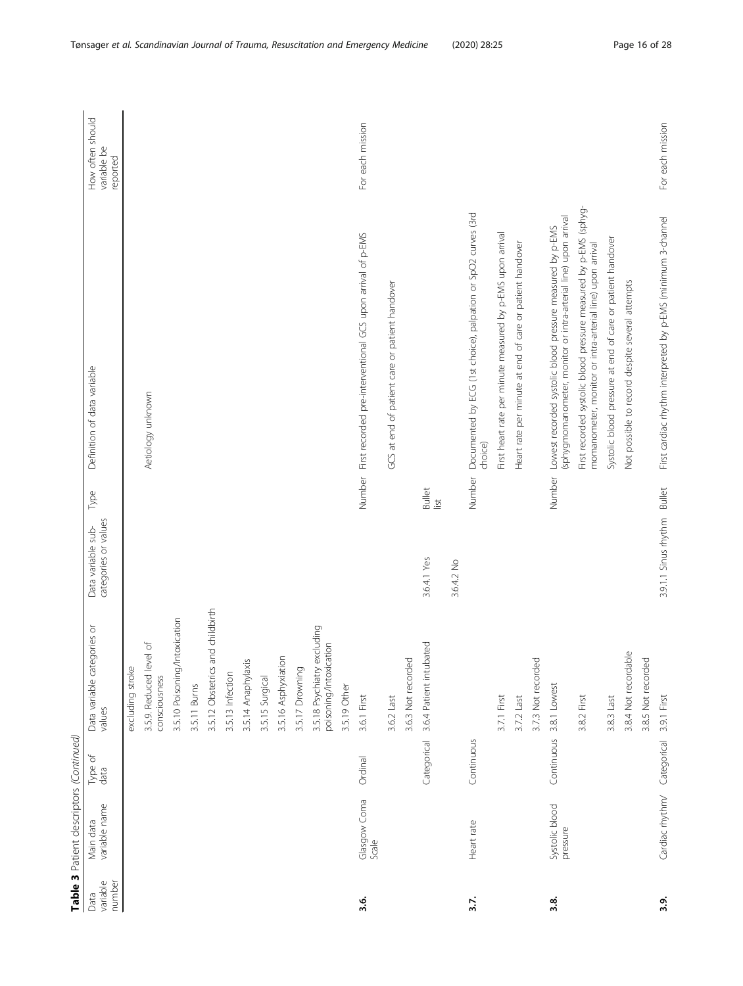|                            | Table 3 Patient descriptors (Continued) |                 |                                                       |                                            |                       |                                                                                                                               |                                             |
|----------------------------|-----------------------------------------|-----------------|-------------------------------------------------------|--------------------------------------------|-----------------------|-------------------------------------------------------------------------------------------------------------------------------|---------------------------------------------|
| number<br>variable<br>Data | variable name<br>Main data              | Type of<br>data | Data variable categories or<br>values                 | categories or values<br>Data variable sub- | Type                  | Definition of data variable                                                                                                   | How often should<br>variable be<br>reported |
|                            |                                         |                 | excluding stroke                                      |                                            |                       |                                                                                                                               |                                             |
|                            |                                         |                 | 3.5.9. Reduced level of<br>consciousness              |                                            |                       | Aetiology unknown                                                                                                             |                                             |
|                            |                                         |                 | 3.5.10 Poisoning/Intoxication                         |                                            |                       |                                                                                                                               |                                             |
|                            |                                         |                 | 3.5.11 Burns                                          |                                            |                       |                                                                                                                               |                                             |
|                            |                                         |                 | 3.5.12 Obstetrics and childbirth                      |                                            |                       |                                                                                                                               |                                             |
|                            |                                         |                 | 3.5.13 Infection                                      |                                            |                       |                                                                                                                               |                                             |
|                            |                                         |                 | 3.5.14 Anaphylaxis                                    |                                            |                       |                                                                                                                               |                                             |
|                            |                                         |                 | 3.5.15 Surgical                                       |                                            |                       |                                                                                                                               |                                             |
|                            |                                         |                 | 3.5.16 Asphyxiation                                   |                                            |                       |                                                                                                                               |                                             |
|                            |                                         |                 | 3.5.17 Drowning                                       |                                            |                       |                                                                                                                               |                                             |
|                            |                                         |                 | 3.5.18 Psychiatry excluding<br>poisoning/intoxication |                                            |                       |                                                                                                                               |                                             |
|                            |                                         |                 | 3.5.19 Other                                          |                                            |                       |                                                                                                                               |                                             |
| 3.6.                       | Glasgow Coma<br>Scale                   | Ordinal         | 3.6.1 First                                           |                                            |                       | Number First recorded pre-interventional GCS upon arrival of p-EMS                                                            | For each mission                            |
|                            |                                         |                 | 3.6.2 Last                                            |                                            |                       | GCS at end of patient care or patient handover                                                                                |                                             |
|                            |                                         |                 | 3.6.3 Not recorded                                    |                                            |                       |                                                                                                                               |                                             |
|                            |                                         | Categorical     | 3.6.4 Patient intubated                               | 3.6.4.1 Yes                                | <b>Bullet</b><br>list |                                                                                                                               |                                             |
|                            |                                         |                 |                                                       | 3.6.4.2 No                                 |                       |                                                                                                                               |                                             |
| 3.7.                       | Heart rate                              | Continuous      |                                                       |                                            | Number                | Documented by ECG (1st choice), palpation or SpO2 curves (3rd<br>choice)                                                      |                                             |
|                            |                                         |                 | 3.7.1 First                                           |                                            |                       | First heart rate per minute measured by p-EMS upon arrival                                                                    |                                             |
|                            |                                         |                 | 3.7.2 Last                                            |                                            |                       | Heart rate per minute at end of care or patient handover                                                                      |                                             |
|                            |                                         |                 | 3.7.3 Not recorded                                    |                                            |                       |                                                                                                                               |                                             |
| 3.8.                       | Systolic blood<br>pressure              | Continuous      | 3.8.1 Lowest                                          |                                            | Number                | (sphygmomanometer, monitor or intra-arterial line) upon arrival<br>Lowest recorded systolic blood pressure measured by p-EMS  |                                             |
|                            |                                         |                 | 3.8.2 First                                           |                                            |                       | First recorded systolic blood pressure measured by p-EMS (sphyg-<br>momanometer, monitor or intra-arterial line) upon arrival |                                             |
|                            |                                         |                 | 3.8.3 Last                                            |                                            |                       | Systolic blood pressure at end of care or patient handover                                                                    |                                             |
|                            |                                         |                 | 3.8.4 Not recordable                                  |                                            |                       | Not possible to record despite several attempts                                                                               |                                             |
|                            |                                         |                 | 3.8.5 Not recorded                                    |                                            |                       |                                                                                                                               |                                             |
| 3.9                        | Cardiac rhythm/ Categorical             |                 | 3.9.1 First                                           | 3.9.1.1 Sinus rhythm Bullet                |                       | First cardiac rhythm interpreted by p-EMS (minimum 3-channel                                                                  | For each mission                            |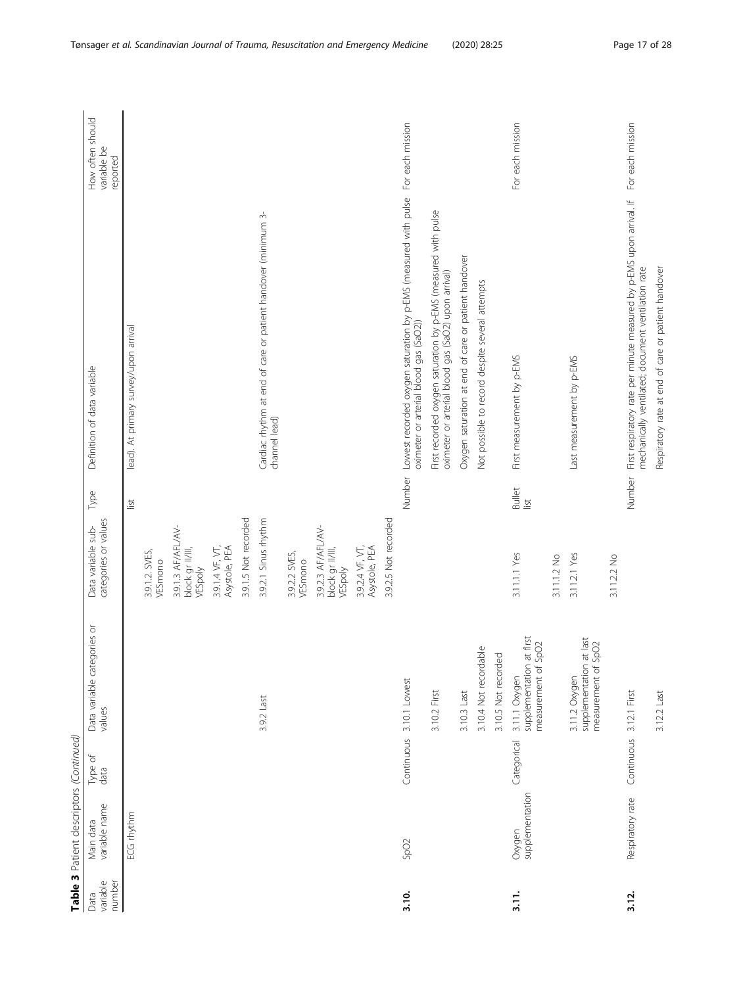|                            | Table 3 Patient descriptors (Continued) |                         |                                                                                    |                                                   |                                |                                                                                                                                             |                                             |
|----------------------------|-----------------------------------------|-------------------------|------------------------------------------------------------------------------------|---------------------------------------------------|--------------------------------|---------------------------------------------------------------------------------------------------------------------------------------------|---------------------------------------------|
| number<br>variable<br>Data | variable name<br>Main data              | Type of<br>data         | Data variable categories or<br>values                                              | categories or values<br>Data variable sub-        | Type                           | Definition of data variable                                                                                                                 | How often should<br>variable be<br>reported |
|                            | ECG rhythm                              |                         |                                                                                    |                                                   | list                           | lead). At primary survey/upon arrival                                                                                                       |                                             |
|                            |                                         |                         |                                                                                    | 3.9.1.2. SVES,<br>VESmono                         |                                |                                                                                                                                             |                                             |
|                            |                                         |                         |                                                                                    | 3.9.1.3 AF/AFL/AV-<br>block gr II/III,<br>VESpoly |                                |                                                                                                                                             |                                             |
|                            |                                         |                         |                                                                                    | 3.9.1.4 VF, VT,<br>Asystole, PEA                  |                                |                                                                                                                                             |                                             |
|                            |                                         |                         |                                                                                    | 3.9.1.5 Not recorded                              |                                |                                                                                                                                             |                                             |
|                            |                                         |                         | 3.9.2 Last                                                                         | 3.9.2.1 Sinus rhythm                              |                                | Cardiac rhythm at end of care or patient handover (minimum 3-<br>channel lead)                                                              |                                             |
|                            |                                         |                         |                                                                                    | 3.9.2.2 SVES,<br>VESmono                          |                                |                                                                                                                                             |                                             |
|                            |                                         |                         |                                                                                    | 3.9.2.3 AF/AFL/AV-<br>block gr II/III,<br>VESpoly |                                |                                                                                                                                             |                                             |
|                            |                                         |                         |                                                                                    | 3.9.2.4 VF, VT,<br>Asystole, PEA                  |                                |                                                                                                                                             |                                             |
|                            |                                         |                         |                                                                                    | 3.9.2.5 Not recorded                              |                                |                                                                                                                                             |                                             |
| 3.10.                      | SpO <sub>2</sub>                        | Continuous              | 3.10.1 Lowest                                                                      |                                                   | Number                         | Lowest recorded oxygen saturation by p-EMS (measured with pulse For each mission<br>oximeter or arterial blood gas (SaO2))                  |                                             |
|                            |                                         |                         | 3.10.2 First                                                                       |                                                   |                                | First recorded oxygen saturation by p-EMS (measured with pulse<br>oximeter or arterial blood gas (SaO2) upon arrival)                       |                                             |
|                            |                                         |                         | 3.10.3 Last                                                                        |                                                   |                                | Oxygen saturation at end of care or patient handover                                                                                        |                                             |
|                            |                                         |                         | 3.10.4 Not recordable                                                              |                                                   |                                | Not possible to record despite several attempts                                                                                             |                                             |
|                            |                                         |                         | 3.10.5 Not recorded                                                                |                                                   |                                |                                                                                                                                             |                                             |
| $\frac{1}{2}$ .            | supplementation<br>Oxygen               | Categorical             | at first<br>SpO <sub>2</sub><br>supplementation<br>measurement of<br>3.11.1 Oxygen | 3.11.1.1 Yes                                      | <b>Bullet</b><br>$\frac{1}{2}$ | First measurement by p-EMS                                                                                                                  | For each mission                            |
|                            |                                         |                         |                                                                                    | 3.11.1.2 No                                       |                                |                                                                                                                                             |                                             |
|                            |                                         |                         | at last<br>SpO <sub>2</sub><br>supplementation<br>measurement of<br>3.11.2 Oxygen  | 3.11.2.1 Yes                                      |                                | Last measurement by p-EMS                                                                                                                   |                                             |
|                            |                                         |                         |                                                                                    | 3.11.2.2 No                                       |                                |                                                                                                                                             |                                             |
| 3.12.                      | Respiratory rate                        | Continuous 3.12.1 First |                                                                                    |                                                   | Number                         | First respiratory rate per minute measured by p-EMS upon arrival. If For each mission<br>mechanically ventilated; document ventilation rate |                                             |
|                            |                                         |                         | 3.12.2 Last                                                                        |                                                   |                                | Respiratory rate at end of care or patient handover                                                                                         |                                             |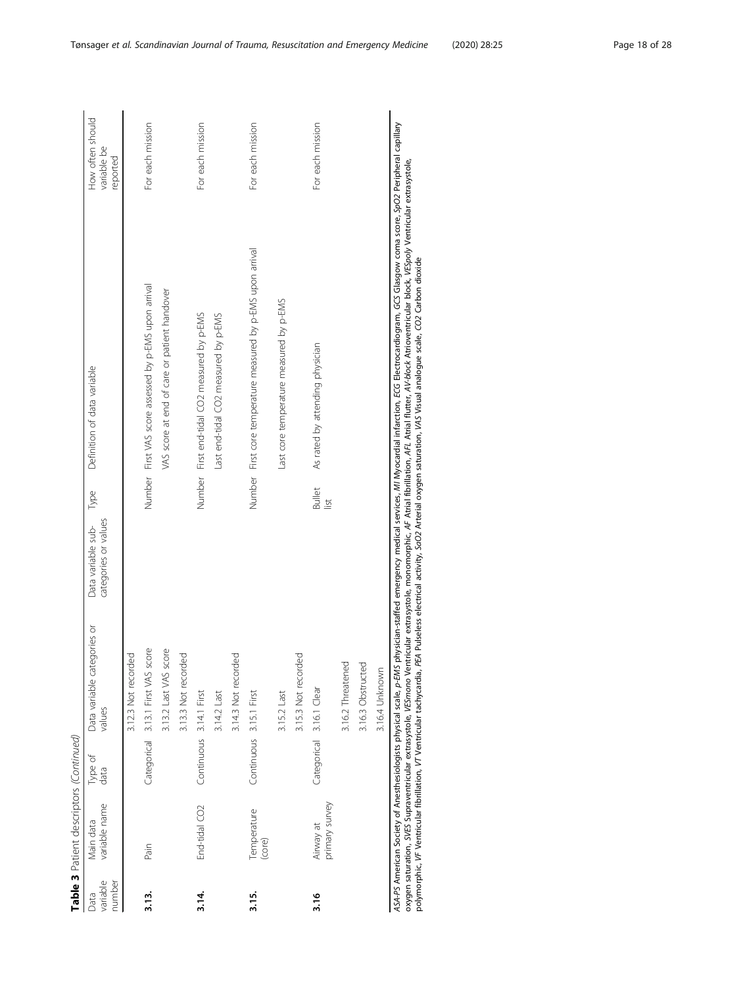|                            | Table 3 Patient descriptors (Continued) |                         |                                       |                                            |                       |                                                              |                                             |
|----------------------------|-----------------------------------------|-------------------------|---------------------------------------|--------------------------------------------|-----------------------|--------------------------------------------------------------|---------------------------------------------|
| variable<br>number<br>Data | variable name<br>Main data              | Type of<br>data         | Data variable categories or<br>values | categories or values<br>Data variable sub- | Type                  | Definition of data variable                                  | How often should<br>variable be<br>reported |
|                            |                                         |                         | d<br>Po<br>3.12.3 Not record          |                                            |                       |                                                              |                                             |
| 3.13.                      | Pain                                    |                         | Categorical 3.13.1 First VAS score    |                                            |                       | Number First VAS score assessed by p-EMS upon arrival        | For each mission                            |
|                            |                                         |                         | 3.13.2 Last VAS score                 |                                            |                       | VAS score at end of care or patient handover                 |                                             |
|                            |                                         |                         | 3.13.3 Not recorded                   |                                            |                       |                                                              |                                             |
| $3.14$ .                   | End-tidal CO2                           | Continuous 3.14.1 First |                                       |                                            |                       | Number First end-tidal CO2 measured by p-EMS                 | For each mission                            |
|                            |                                         |                         | 3.14.2 Last                           |                                            |                       | Last end-tidal CO2 measured by p-EMS                         |                                             |
|                            |                                         |                         | 3.14.3 Not recorded                   |                                            |                       |                                                              |                                             |
| 3.15.                      | Temperature<br>(core)                   | Continuous 3.15.1 First |                                       |                                            |                       | Number First core temperature measured by p-EMS upon arrival | For each mission                            |
|                            |                                         |                         | 3.15.2 Last                           |                                            |                       | Last core temperature measured by p-EMS                      |                                             |
|                            |                                         |                         | 3.15.3 Not recorded                   |                                            |                       |                                                              |                                             |
| 3.16                       | primary survey<br>Airway at             |                         | Categorical 3.16.1 Clear              |                                            | <b>Bullet</b><br>list | As rated by attending physician                              | For each mission                            |
|                            |                                         |                         | 3.16.2 Threatened                     |                                            |                       |                                                              |                                             |
|                            |                                         |                         | 3.16.3 Obstructed                     |                                            |                       |                                                              |                                             |
|                            |                                         |                         | 3.16.4 Unknown                        |                                            |                       |                                                              |                                             |
|                            |                                         |                         |                                       |                                            |                       |                                                              |                                             |

ASA-PS American Society of Anesthesiologists physical scale, p-EMS physician-staffed emergency medical services, MI Myocardial infarction, ECG Electrocardiogram, GCS Glasgow coma score, SpO2 Peripheral capillary<br>oxygen sat ASA-PS American Society of Anesthesiologists physical scale, p-EMS physician-staffed emergency medical services, MI Myocardial infarction, ECG Electrocardiogram, GCS Glasgow coma score, SpO2 Peripheral capillary oxygen saturation, SVES Supraventricular extrasystole, VESmono Ventricular extrasystole, monomorphic, AF Atrial fibrillation, AFL Atrial flutter, AV-block Atrioventricular block, VESpoly Ventricular extrasystole, polymorphic, VF Ventricular fibrillation, VT Ventricular tachycardia, PEA Pulseless electrical activity, SaO2 Arterial oxygen saturation, VAS Visual analogue scale, CO2 Carbon dioxide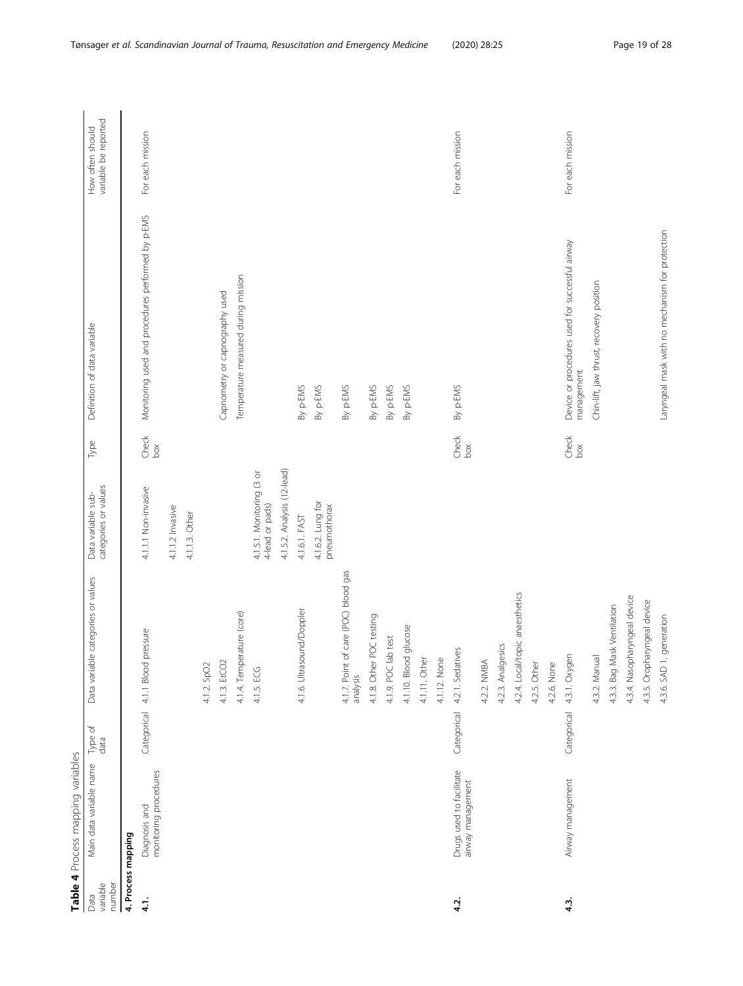<span id="page-18-0"></span>

|                            | Table 4 Process mapping variables             |                 |                                                     |                                              |                                                         |                                                               |                                          |
|----------------------------|-----------------------------------------------|-----------------|-----------------------------------------------------|----------------------------------------------|---------------------------------------------------------|---------------------------------------------------------------|------------------------------------------|
| variable<br>number<br>Data | Main data variable name                       | Type of<br>data | Data variable categories or values                  | categories or values<br>Data variable sub-   | Туре                                                    | Definition of data variable                                   | variable be reported<br>How often should |
|                            | 4. Process mapping                            |                 |                                                     |                                              |                                                         |                                                               |                                          |
| 4.1.                       | monitoring procedures<br>Diagnosis and        | Categorical     | 4.1.1 Blood pressure                                | 4.1.1.1 Non-invasive                         | $\begin{array}{l} {\rm Check} \\ {\rm box} \end{array}$ | Monitoring used and procedures performed by p-EMS             | For each mission                         |
|                            |                                               |                 |                                                     | 4.1.1.2 Invasive                             |                                                         |                                                               |                                          |
|                            |                                               |                 |                                                     | 4.1.1.3. Other                               |                                                         |                                                               |                                          |
|                            |                                               |                 | 4.1.2. SpO2                                         |                                              |                                                         |                                                               |                                          |
|                            |                                               |                 | 4.1.3. EtCO2                                        |                                              |                                                         | Capnometry or capnography used                                |                                          |
|                            |                                               |                 | 4.1.4. Temperature (core)                           |                                              |                                                         | Temperature measured during mission                           |                                          |
|                            |                                               |                 | 4.1.5. ECG                                          | 4.1.5.1. Monitoring (3 or<br>4-lead or pads) |                                                         |                                                               |                                          |
|                            |                                               |                 |                                                     | 4.1.5.2. Analysis (12-lead)                  |                                                         |                                                               |                                          |
|                            |                                               |                 | 4.1.6. Ultrasound/Doppler                           | 4.1.6.1. FAST                                |                                                         | By p-EMS                                                      |                                          |
|                            |                                               |                 |                                                     | 4.1.6.2. Lung for<br>pneumothorax            |                                                         | By p-EMS                                                      |                                          |
|                            |                                               |                 | of care (POC) blood gas<br>4.1.7. Point<br>analysis |                                              |                                                         | By p-EMS                                                      |                                          |
|                            |                                               |                 | 4.1.8. Other POC testing                            |                                              |                                                         | By p-EMS                                                      |                                          |
|                            |                                               |                 | 4.1.9. POC lab test                                 |                                              |                                                         | By p-EMS                                                      |                                          |
|                            |                                               |                 | 4.1.10. Blood glucose                               |                                              |                                                         | By p-EMS                                                      |                                          |
|                            |                                               |                 | 4.1.11. Other                                       |                                              |                                                         |                                                               |                                          |
|                            |                                               |                 | 4.1.12. None                                        |                                              |                                                         |                                                               |                                          |
| 4.2.                       | Drugs used to facilitate<br>airway management | Categorical     | 4.2.1. Sedatives                                    |                                              | $\begin{array}{l} {\rm Check} \\ {\rm box} \end{array}$ | By p-EMS                                                      | For each mission                         |
|                            |                                               |                 | 4.2.2. NMBA                                         |                                              |                                                         |                                                               |                                          |
|                            |                                               |                 | 4.2.3. Analgesics                                   |                                              |                                                         |                                                               |                                          |
|                            |                                               |                 | 4.2.4. Local/topic anaesthetics                     |                                              |                                                         |                                                               |                                          |
|                            |                                               |                 | 4.2.5. Other                                        |                                              |                                                         |                                                               |                                          |
|                            |                                               |                 | 4.2.6. None                                         |                                              |                                                         |                                                               |                                          |
| 4.3.                       | Airway management                             | Categorical     | 4.3.1. Oxygen                                       |                                              | $\begin{array}{l} {\rm Check} \\ {\rm box} \end{array}$ | Device or procedures used for successful airway<br>management | For each mission                         |
|                            |                                               |                 | 4.3.2. Manual                                       |                                              |                                                         | Chin-lift, jaw thrust, recovery position                      |                                          |
|                            |                                               |                 | Mask Ventilation<br>4.3.3. Bag                      |                                              |                                                         |                                                               |                                          |
|                            |                                               |                 | 4.3.4. Nasopharyngeal device                        |                                              |                                                         |                                                               |                                          |
|                            |                                               |                 | 4.3.5. Oropharyngeal device                         |                                              |                                                         |                                                               |                                          |
|                            |                                               |                 | 4.3.6. SAD 1. generation                            |                                              |                                                         | Laryngeal mask with no mechanism for protection               |                                          |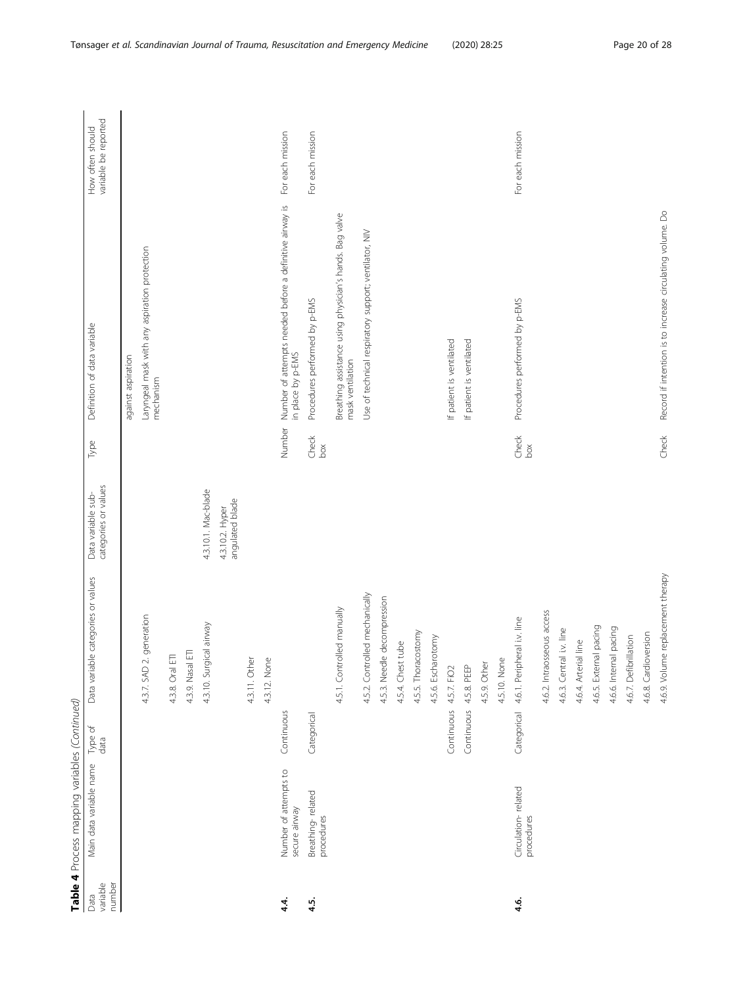|                            | Table 4 Process mapping variables (Continued) |                 |                                             |                                            |                      |                                                                              |                                          |
|----------------------------|-----------------------------------------------|-----------------|---------------------------------------------|--------------------------------------------|----------------------|------------------------------------------------------------------------------|------------------------------------------|
| variable<br>number<br>Data | Main data variable name                       | Type of<br>data | Data variable categories or values          | categories or values<br>Data variable sub- | Type                 | Definition of data variable                                                  | variable be reported<br>How often should |
|                            |                                               |                 |                                             |                                            |                      | against aspiration                                                           |                                          |
|                            |                                               |                 | 2. generation<br>4.3.7. SAD                 |                                            |                      | Laryngeal mask with any aspiration protection<br>mechanism                   |                                          |
|                            |                                               |                 | Ē<br>4.3.8. Oral                            |                                            |                      |                                                                              |                                          |
|                            |                                               |                 | 4.3.9. Nasal ETI                            |                                            |                      |                                                                              |                                          |
|                            |                                               |                 | 4.3.10. Surgical airway                     | 4.3.10.1. Mac-blade                        |                      |                                                                              |                                          |
|                            |                                               |                 |                                             | angulated blade<br>4.3.10.2. Hyper         |                      |                                                                              |                                          |
|                            |                                               |                 | $\overleftarrow{\mathbb{O}}$<br>4.3.11. Oth |                                            |                      |                                                                              |                                          |
|                            |                                               |                 | 4.3.12. None                                |                                            |                      |                                                                              |                                          |
| 4.4.                       | Number of attempts to<br>secure airway        | Continuous      |                                             |                                            | Number               | Number of attempts needed before a definitive airway is<br>in place by p-EMS | For each mission                         |
| 4.5.                       | Breathing-related<br>procedures               | Categorical     |                                             |                                            | Check<br>box         | Procedures performed by p-EMS                                                | For each mission                         |
|                            |                                               |                 | 4.5.1. Controlled manually                  |                                            |                      | Breathing assistance using physician's hands. Bag valve<br>mask ventilation  |                                          |
|                            |                                               |                 | 4.5.2. Controlled mechanically              |                                            |                      | Use of technical respiratory support; ventilator, NIV                        |                                          |
|                            |                                               |                 | 4.5.3. Needle decompression                 |                                            |                      |                                                                              |                                          |
|                            |                                               |                 | 4.5.4. Chest tube                           |                                            |                      |                                                                              |                                          |
|                            |                                               |                 | 4.5.5. Thoracostomy                         |                                            |                      |                                                                              |                                          |
|                            |                                               |                 | 4.5.6. Escharotomy                          |                                            |                      |                                                                              |                                          |
|                            |                                               |                 | Continuous 4.5.7. FiO2                      |                                            |                      | If patient is ventilated                                                     |                                          |
|                            |                                               | Continuous      | 4.5.8. PEEP                                 |                                            |                      | If patient is ventilated                                                     |                                          |
|                            |                                               |                 | 4.5.9. Other                                |                                            |                      |                                                                              |                                          |
|                            |                                               |                 | 4.5.10. None                                |                                            |                      |                                                                              |                                          |
| 4.6.                       | Circulation-related<br>procedures             | Categorical     | 4.6.1. Peripheral i.v. line                 |                                            | <b>Check</b><br>boxx | Procedures performed by p-EMS                                                | For each mission                         |
|                            |                                               |                 | 4.6.2. Intraosseous access                  |                                            |                      |                                                                              |                                          |
|                            |                                               |                 | 4.6.3. Central i.v. line                    |                                            |                      |                                                                              |                                          |
|                            |                                               |                 | 4.6.4. Arterial line                        |                                            |                      |                                                                              |                                          |
|                            |                                               |                 | 4.6.5. External pacing                      |                                            |                      |                                                                              |                                          |
|                            |                                               |                 | 4.6.6. Internal pacing                      |                                            |                      |                                                                              |                                          |
|                            |                                               |                 | 4.6.7. Defibrillation                       |                                            |                      |                                                                              |                                          |
|                            |                                               |                 | 4.6.8. Cardioversion                        |                                            |                      |                                                                              |                                          |
|                            |                                               |                 | 4.6.9. Volume replacement therapy           |                                            | Check                | Record if intention is to increase circulating volume. Do                    |                                          |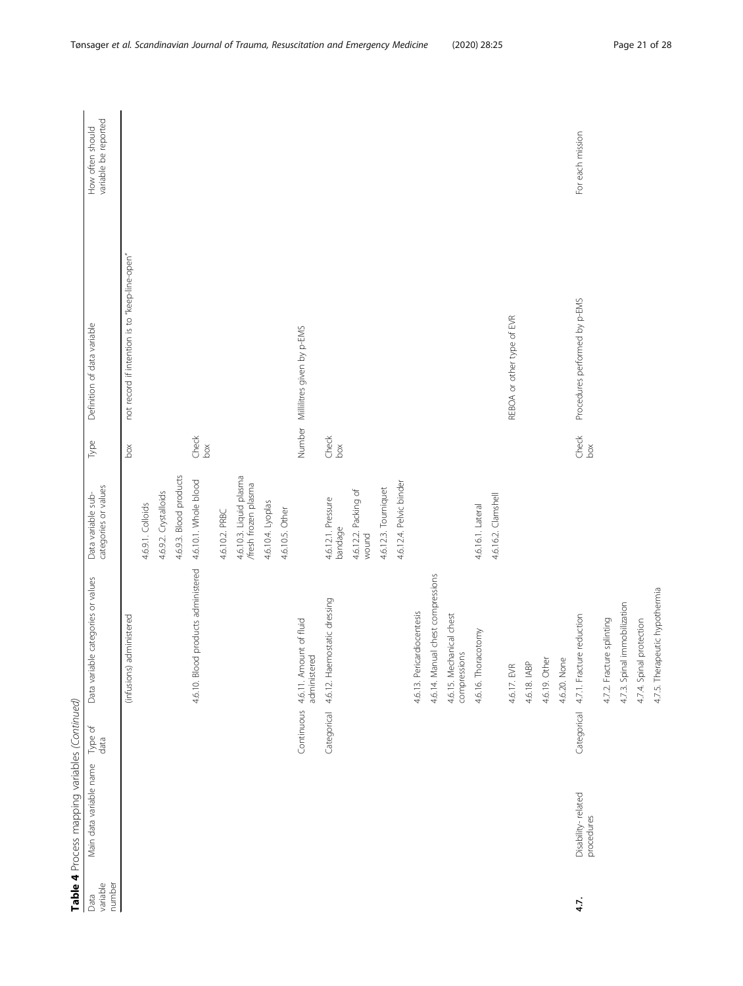|                            | Table 4 Process mapping variables (Continued) |                 |                                                    |                                                 |                                                                           |                                                |                                          |
|----------------------------|-----------------------------------------------|-----------------|----------------------------------------------------|-------------------------------------------------|---------------------------------------------------------------------------|------------------------------------------------|------------------------------------------|
| variable<br>number<br>Data | Main data variable name                       | Type of<br>data | Data variable categories or values                 | categories or values<br>Data variable sub-      | Type                                                                      | Definition of data variable                    | variable be reported<br>How often should |
|                            |                                               |                 | administered<br>(infusions)                        |                                                 | $_{\rm{box}}$                                                             | not record if intention is to "keep-line-open" |                                          |
|                            |                                               |                 |                                                    | 4.6.9.1. Colloids                               |                                                                           |                                                |                                          |
|                            |                                               |                 |                                                    | 4.6.9.2. Crystalloids                           |                                                                           |                                                |                                          |
|                            |                                               |                 |                                                    | 4.6.9.3. Blood products                         |                                                                           |                                                |                                          |
|                            |                                               |                 | 4.6.10. Blood products administered                | 4.6.10.1. Whole blood                           | $\begin{array}{c}\n\text{Check} \\ \text{box} \\ \text{box}\n\end{array}$ |                                                |                                          |
|                            |                                               |                 |                                                    | 4.6.10.2. PRBC                                  |                                                                           |                                                |                                          |
|                            |                                               |                 |                                                    | 4.6.10.3. Liquid plasma<br>/fresh frozen plasma |                                                                           |                                                |                                          |
|                            |                                               |                 |                                                    | 4.6.10.4. Lyoplas                               |                                                                           |                                                |                                          |
|                            |                                               |                 |                                                    | 4.6.10.5. Other                                 |                                                                           |                                                |                                          |
|                            |                                               |                 | Continuous 4.6.11. Amount of fluid<br>administered |                                                 |                                                                           | Number Millilitres given by p-EMS              |                                          |
|                            |                                               | Categorical     | 4.6.12. Haemostatic dressing                       | 4.6.12.1. Pressure<br>bandage                   | $\begin{array}{l} {\rm Check} \\ {\rm box} \end{array}$                   |                                                |                                          |
|                            |                                               |                 |                                                    | 4.6.12.2. Packing of                            |                                                                           |                                                |                                          |
|                            |                                               |                 |                                                    | wound                                           |                                                                           |                                                |                                          |
|                            |                                               |                 |                                                    | 4.6.12.3. Tourniquet                            |                                                                           |                                                |                                          |
|                            |                                               |                 |                                                    | 4.6.12.4. Pelvic binder                         |                                                                           |                                                |                                          |
|                            |                                               |                 | 4.6.13. Pericardiocentesis                         |                                                 |                                                                           |                                                |                                          |
|                            |                                               |                 | 4.6.14. Manual chest compressions                  |                                                 |                                                                           |                                                |                                          |
|                            |                                               |                 | 4.6.15. Mechanical chest<br>compressions           |                                                 |                                                                           |                                                |                                          |
|                            |                                               |                 | 4.6.16. Thoracotomy                                | 4.6.16.1. Lateral                               |                                                                           |                                                |                                          |
|                            |                                               |                 |                                                    | 4.6.16.2. Clamshell                             |                                                                           |                                                |                                          |
|                            |                                               |                 | 4.6.17. EVR                                        |                                                 |                                                                           | REBOA or other type of EVR                     |                                          |
|                            |                                               |                 | 4.6.18. IABP                                       |                                                 |                                                                           |                                                |                                          |
|                            |                                               |                 | 4.6.19. Other                                      |                                                 |                                                                           |                                                |                                          |
|                            |                                               |                 | 4.6.20. None                                       |                                                 |                                                                           |                                                |                                          |
| 4.7.                       | Disability-related<br>procedures              |                 | Categorical 4.7.1. Fracture reduction              |                                                 | $\begin{array}{l} {\rm Check} \\ {\rm box} \end{array}$                   | Procedures performed by p-EMS                  | For each mission                         |
|                            |                                               |                 | 4.7.2. Fracture splinting                          |                                                 |                                                                           |                                                |                                          |
|                            |                                               |                 | 4.7.3. Spinal immobilization                       |                                                 |                                                                           |                                                |                                          |
|                            |                                               |                 | 4.7.4. Spinal protection                           |                                                 |                                                                           |                                                |                                          |
|                            |                                               |                 | 4.7.5. Therapeutic hypothermia                     |                                                 |                                                                           |                                                |                                          |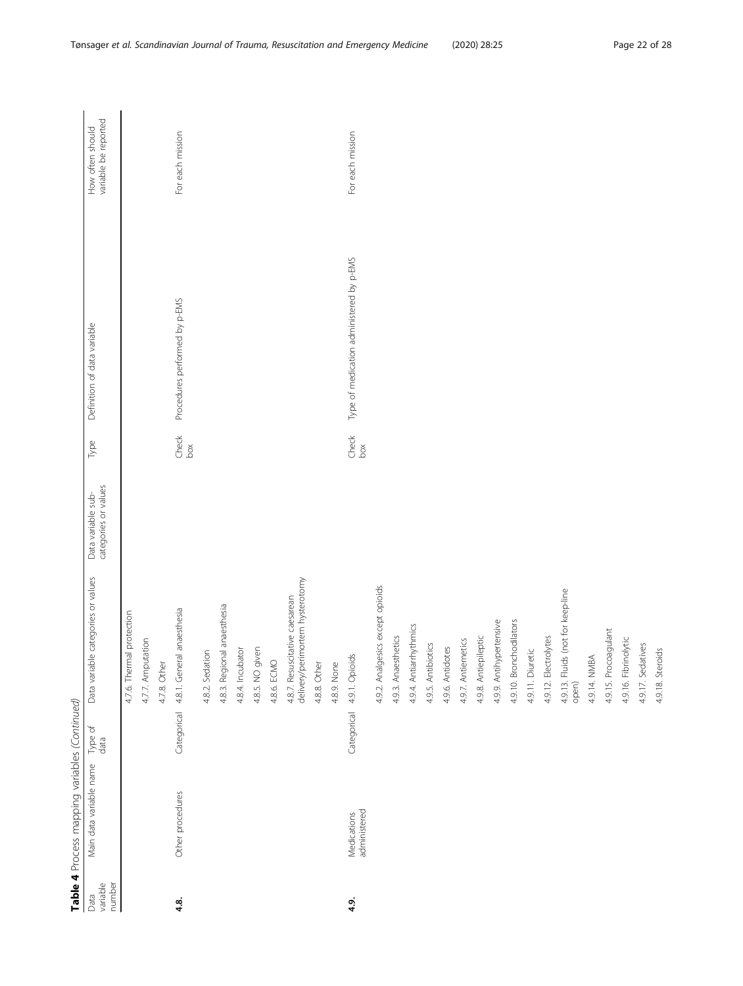|                            | Table 4 Process mapping variables (Continued) |                 |                                                                   |                                            |                                                         |                                          |                                          |
|----------------------------|-----------------------------------------------|-----------------|-------------------------------------------------------------------|--------------------------------------------|---------------------------------------------------------|------------------------------------------|------------------------------------------|
| variable<br>number<br>Data | Main data variable name                       | Type of<br>data | Data variable categories or values                                | categories or values<br>Data variable sub- | Type                                                    | Definition of data variable              | variable be reported<br>How often should |
|                            |                                               |                 | 4.7.6. Thermal protection                                         |                                            |                                                         |                                          |                                          |
|                            |                                               |                 | 4.7.7. Amputation                                                 |                                            |                                                         |                                          |                                          |
|                            |                                               |                 | 4.7.8. Other                                                      |                                            |                                                         |                                          |                                          |
| 4.8.                       | Other procedures                              | Categorical     | 4.8.1. General anaesthesia                                        |                                            | $\begin{array}{c} {\rm Check} \\ {\rm box} \end{array}$ | Procedures performed by p-EMS            | For each mission                         |
|                            |                                               |                 | 4.8.2. Sedation                                                   |                                            |                                                         |                                          |                                          |
|                            |                                               |                 | 4.8.3. Regional anaesthesia                                       |                                            |                                                         |                                          |                                          |
|                            |                                               |                 | 4.8.4. Incubator                                                  |                                            |                                                         |                                          |                                          |
|                            |                                               |                 | 4.8.5. NO given                                                   |                                            |                                                         |                                          |                                          |
|                            |                                               |                 | 4.8.6. ECMO                                                       |                                            |                                                         |                                          |                                          |
|                            |                                               |                 | 4.8.7. Resuscitative caesarean<br>delivery/perimortem hysterotomy |                                            |                                                         |                                          |                                          |
|                            |                                               |                 | 4.8.8. Other                                                      |                                            |                                                         |                                          |                                          |
|                            |                                               |                 | 4.8.9. None                                                       |                                            |                                                         |                                          |                                          |
| 4.9.                       | administered<br>Medications                   | Categorical     | 4.9.1. Opioids                                                    |                                            | $\begin{array}{l} {\rm Check} \\ {\rm box} \end{array}$ | Type of medication administered by p-EMS | For each mission                         |
|                            |                                               |                 | 4.9.2. Analgesics except opioids                                  |                                            |                                                         |                                          |                                          |
|                            |                                               |                 | 4.9.3. Anaesthetics                                               |                                            |                                                         |                                          |                                          |
|                            |                                               |                 | 4.9.4. Antiarrhythmics                                            |                                            |                                                         |                                          |                                          |
|                            |                                               |                 | 4.9.5. Antibiotics                                                |                                            |                                                         |                                          |                                          |
|                            |                                               |                 | 4.9.6. Antidotes                                                  |                                            |                                                         |                                          |                                          |
|                            |                                               |                 | 4.9.7. Antiemetics                                                |                                            |                                                         |                                          |                                          |
|                            |                                               |                 | 4.9.8. Antiepileptic                                              |                                            |                                                         |                                          |                                          |
|                            |                                               |                 | 4.9.9. Antihypertensive                                           |                                            |                                                         |                                          |                                          |
|                            |                                               |                 | 4.9.10. Bronchodilators                                           |                                            |                                                         |                                          |                                          |
|                            |                                               |                 | 4.9.11. Diuretic                                                  |                                            |                                                         |                                          |                                          |
|                            |                                               |                 | 4.9.12. Electrolytes                                              |                                            |                                                         |                                          |                                          |
|                            |                                               |                 | 4.9.13. Fluids (not for keep-line<br>open)                        |                                            |                                                         |                                          |                                          |
|                            |                                               |                 | 4.9.14. NMBA                                                      |                                            |                                                         |                                          |                                          |
|                            |                                               |                 | 4.9.15. Procoagulant                                              |                                            |                                                         |                                          |                                          |
|                            |                                               |                 | 4.9.16. Fibrinolytic                                              |                                            |                                                         |                                          |                                          |
|                            |                                               |                 | 4.9.17. Sedatives                                                 |                                            |                                                         |                                          |                                          |
|                            |                                               |                 | 4.9.18. Steroids                                                  |                                            |                                                         |                                          |                                          |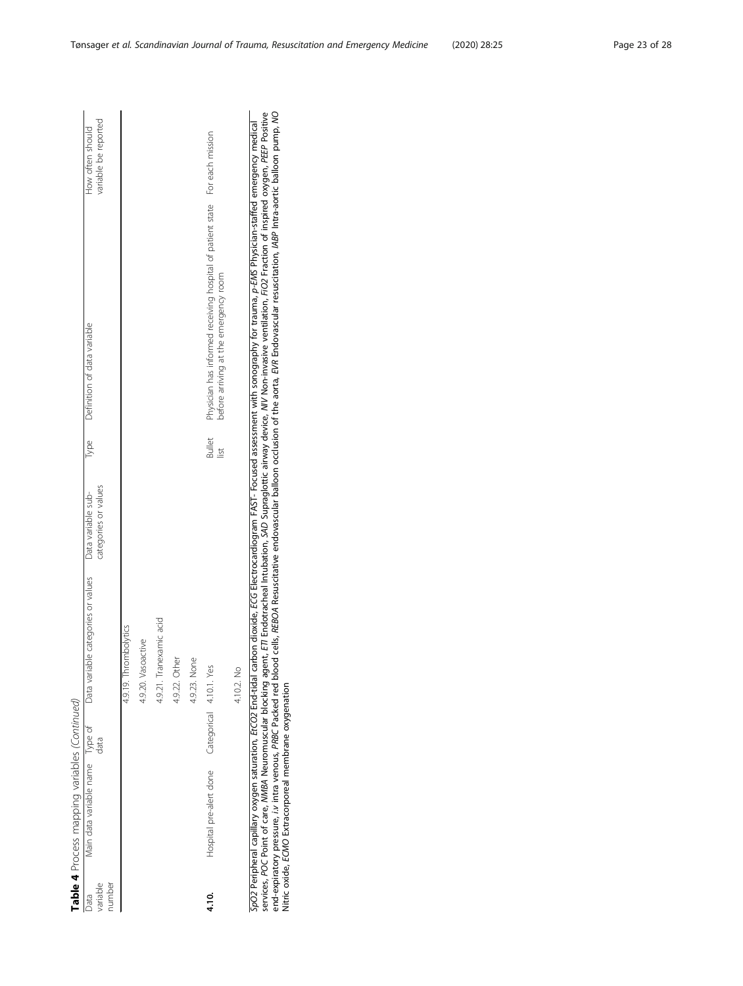| variable<br>number<br>Data | Table 4 Process mapping variables (Continued)   | data | Main data variable name Type of Data variable categories or values Data variable sub-<br>4.9.21. Tranexamic acid<br>4.9.19. Thrombolytics<br>4.9.20. Vasoactive<br>4.9.22. Other | categories or values |                                | Type Definition of data variable                                                                                     | variable be reported<br>How often should |
|----------------------------|-------------------------------------------------|------|----------------------------------------------------------------------------------------------------------------------------------------------------------------------------------|----------------------|--------------------------------|----------------------------------------------------------------------------------------------------------------------|------------------------------------------|
| 4.10.                      | Hospital pre-alert done Categorical 4.10.1. Yes |      | 4.9.23. None<br>4.10.2. No                                                                                                                                                       |                      | <b>Bullet</b><br>$\frac{1}{2}$ | Physician has informed receiving hospital of patient state For each mission<br>before arriving at the emergency room |                                          |

SpO2 Peripheral capillary oxygen saturation, ErCO2 End-tidal carbon dioxide, ECG Electrocardiogram FAST- Focused assessment with sonography for trauma, p-EMS Physician-staffed emergency medical<br>services, POC Point of care, services, POC Point of care, MMBA Neuromuscular blocking agent, ETI Endotracheal Intubation, SAD Supraglottic airway device, NIV Non-invasive ventilation, FiO2 Fraction of inspired oxygen, PEEP Positive end-expiratory pressure, i.v intra venous, PRBC Packed red blood cells, REBOA Resuscitative endovascular balloon occlusion of the aorta, EVR Endovascular resuscitation, IABP Intra-aortic balloon pump, NO SpO2 Peripheral capillary oxygen saturation, EtCO2 End-tidal carbon dioxide, ECG Electrocardiogram FAST- Focused assessment with sonography for trauma, p-EMS Physician-staffed emergency medical Nitric oxide, ECMO Extracorporeal membrane oxygenation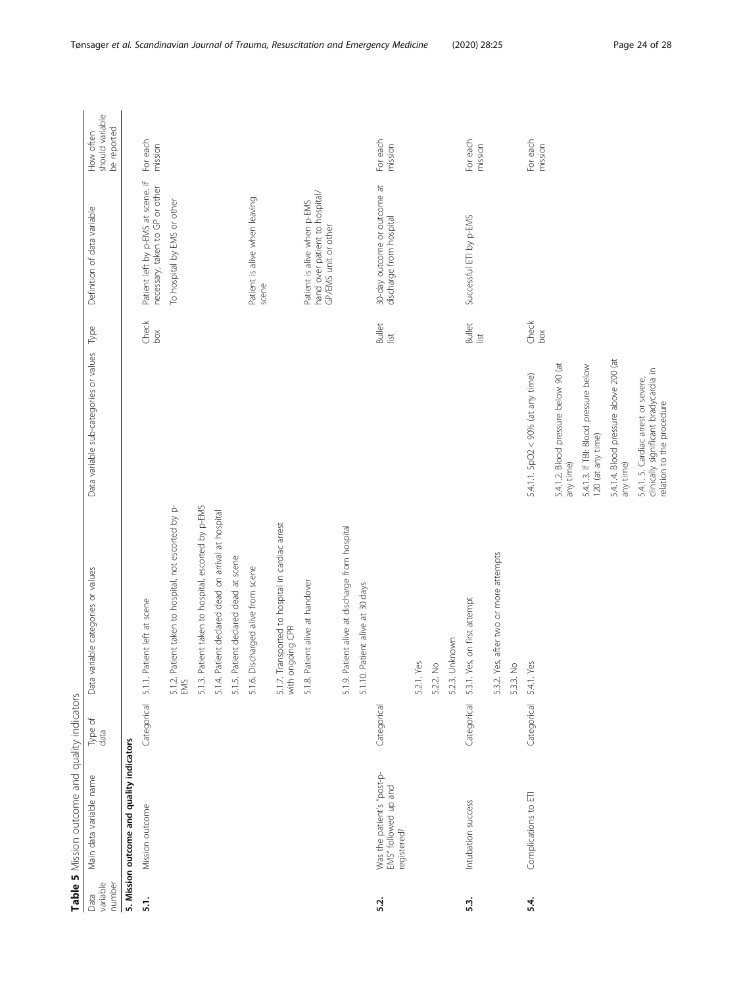<span id="page-23-0"></span>

|                            | Table 5 Mission outcome and quality indicators                    |                 |                                                                      |                                                                                                           |                                                         |                                                                                       |                                             |
|----------------------------|-------------------------------------------------------------------|-----------------|----------------------------------------------------------------------|-----------------------------------------------------------------------------------------------------------|---------------------------------------------------------|---------------------------------------------------------------------------------------|---------------------------------------------|
| number<br>variable<br>Data | Main data variable name                                           | Type of<br>data | Data variable categories or values                                   | Data variable sub-categories or values                                                                    | Type                                                    | Definition of data variable                                                           | should variable<br>be reported<br>How often |
|                            | 5. Mission outcome and quality indicators                         |                 |                                                                      |                                                                                                           |                                                         |                                                                                       |                                             |
| $\overline{51}$ .          | Mission outcome                                                   | Categorical     | 5.1.1. Patient left at scene                                         |                                                                                                           | $\begin{array}{l} {\rm Check} \\ {\rm box} \end{array}$ | Patient left by p-EMS at scene. If<br>necessary, taken to GP or other                 | For each<br>mission                         |
|                            |                                                                   |                 | 5.1.2. Patient taken to hospital, not escorted by p-<br>EMS          |                                                                                                           |                                                         | To hospital by EMS or other                                                           |                                             |
|                            |                                                                   |                 | 5.1.3. Patient taken to hospital, escorted by p-EMS                  |                                                                                                           |                                                         |                                                                                       |                                             |
|                            |                                                                   |                 | 5.1.4. Patient declared dead on arrival at hospital                  |                                                                                                           |                                                         |                                                                                       |                                             |
|                            |                                                                   |                 | 5.1.5. Patient declared dead at scene                                |                                                                                                           |                                                         |                                                                                       |                                             |
|                            |                                                                   |                 | 5.1.6. Discharged alive from scene                                   |                                                                                                           |                                                         | Patient is alive when leaving<br>scene                                                |                                             |
|                            |                                                                   |                 | 5.1.7. Transported to hospital in cardiac arrest<br>with ongoing CPR |                                                                                                           |                                                         |                                                                                       |                                             |
|                            |                                                                   |                 | 5.1.8. Patient alive at handover                                     |                                                                                                           |                                                         | hand over patient to hospital/<br>Patient is alive when p-EMS<br>GP/EMS unit or other |                                             |
|                            |                                                                   |                 | 5.1.9. Patient alive at discharge from hospital                      |                                                                                                           |                                                         |                                                                                       |                                             |
|                            |                                                                   |                 | 5.1.10. Patient alive at 30 days                                     |                                                                                                           |                                                         |                                                                                       |                                             |
| 5.2.                       | Was the patient's "post-p-<br>EMS" followed up and<br>registered? | Categorical     |                                                                      |                                                                                                           | Bullet<br>list                                          | 30-day outcome or outcome at<br>discharge from hospital                               | For each<br>mission                         |
|                            |                                                                   |                 | 5.2.1. Yes                                                           |                                                                                                           |                                                         |                                                                                       |                                             |
|                            |                                                                   |                 | 5.2.2. No                                                            |                                                                                                           |                                                         |                                                                                       |                                             |
|                            |                                                                   |                 | 5.2.3. Unknown                                                       |                                                                                                           |                                                         |                                                                                       |                                             |
| 53.                        | Intubation success                                                | Categorical     | 5.3.1. Yes, on first attempt                                         |                                                                                                           | <b>Bullet</b><br>$\overline{\underline{\mathsf{S}}}$    | Successful ETI by p-EMS                                                               | For each<br>mission                         |
|                            |                                                                   |                 | 5.3.2. Yes, after two or more attempts                               |                                                                                                           |                                                         |                                                                                       |                                             |
|                            |                                                                   |                 | 5.3.3. No                                                            |                                                                                                           |                                                         |                                                                                       |                                             |
| 5.4.                       | Complications to ETI                                              | Categorical     | 5.4.1. Yes                                                           | 5.4.1.1. SpO2 < 90% (at any time)                                                                         | $\begin{array}{l} {\rm Check} \\ {\rm box} \end{array}$ |                                                                                       | For each<br>mission                         |
|                            |                                                                   |                 |                                                                      | 5.4.1.2. Blood pressure below 90 (at<br>any time)                                                         |                                                         |                                                                                       |                                             |
|                            |                                                                   |                 |                                                                      | 5.4.1.3. If TBI: Blood pressure below<br>120 (at any time)                                                |                                                         |                                                                                       |                                             |
|                            |                                                                   |                 |                                                                      | 5.4.1.4. Blood pressure above 200 (at<br>any time)                                                        |                                                         |                                                                                       |                                             |
|                            |                                                                   |                 |                                                                      | 5.4.1. 5. Cardiac arrest or severe,<br>clinically significant bradycardia in<br>relation to the procedure |                                                         |                                                                                       |                                             |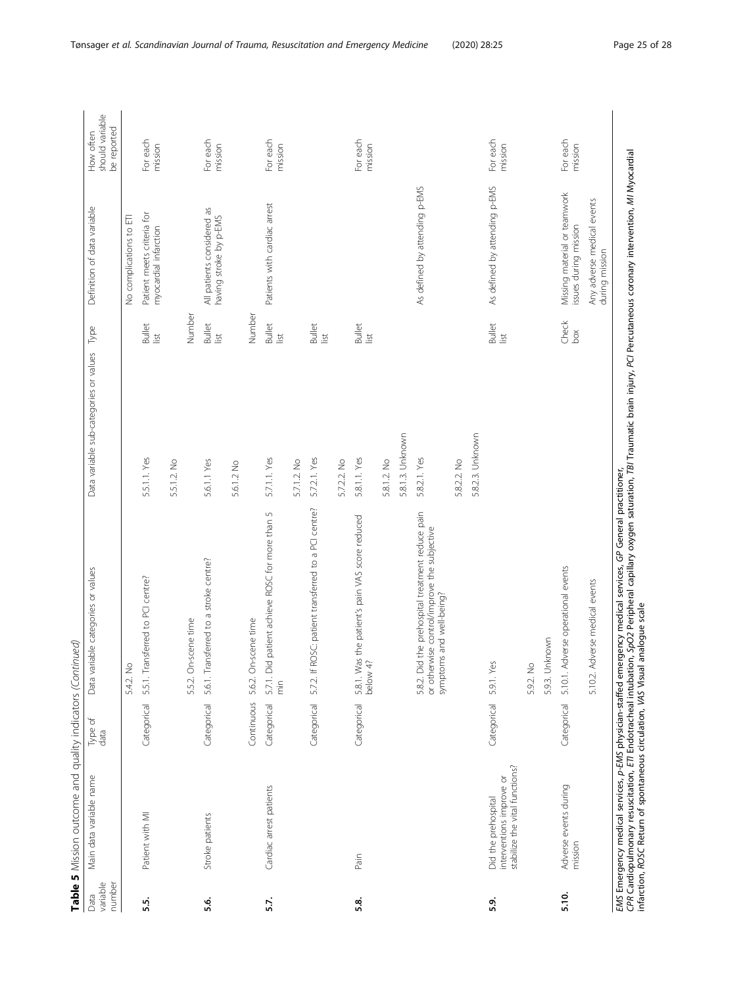|                            | Table 5 Mission outcome and quality indicators (Continued)                        |                 |                                                                                                                                                                                                                                                                                                                |                                        |                                                         |                                                       |                                             |
|----------------------------|-----------------------------------------------------------------------------------|-----------------|----------------------------------------------------------------------------------------------------------------------------------------------------------------------------------------------------------------------------------------------------------------------------------------------------------------|----------------------------------------|---------------------------------------------------------|-------------------------------------------------------|---------------------------------------------|
| variable<br>number<br>Data | Main data variable name                                                           | Type of<br>data | Data variable categories or values                                                                                                                                                                                                                                                                             | Data variable sub-categories or values | Type                                                    | Definition of data variable                           | should variable<br>be reported<br>How often |
|                            |                                                                                   |                 | 5.4.2. No                                                                                                                                                                                                                                                                                                      |                                        |                                                         | No complications to ETI                               |                                             |
| 55.                        | Patient with MI                                                                   | Categorical     | 5.5.1. Transferred to PCI centre?                                                                                                                                                                                                                                                                              | 5.5.1.1. Yes                           | <b>Bullet</b><br>list                                   | Patient meets criteria for<br>myocardial infarction   | For each<br>mission                         |
|                            |                                                                                   |                 |                                                                                                                                                                                                                                                                                                                | 5.5.1.2. No                            |                                                         |                                                       |                                             |
|                            |                                                                                   |                 | 5.5.2. On-scene time                                                                                                                                                                                                                                                                                           |                                        | Number                                                  |                                                       |                                             |
| .6<br>5.6                  | Stroke patients                                                                   | Categorical     | 5.6.1. Transferred to a stroke centre?                                                                                                                                                                                                                                                                         | 5.6.1.1 Yes                            | <b>Bullet</b><br>$\frac{1}{2}$                          | All patients considered as<br>having stroke by p-EMS  | For each<br>mission                         |
|                            |                                                                                   |                 |                                                                                                                                                                                                                                                                                                                | 5.6.1.2 No                             |                                                         |                                                       |                                             |
|                            |                                                                                   | Continuous      | 5.6.2. On-scene time                                                                                                                                                                                                                                                                                           |                                        | Number                                                  |                                                       |                                             |
| 5.7.                       | Cardiac arrest patients                                                           | Categorical     | 5.7.1. Did patient achieve ROSC for more than 5<br>$\frac{1}{2}$                                                                                                                                                                                                                                               | 5.7.1.1. Yes                           | <b>Bullet</b><br>list                                   | Patients with cardiac arrest                          | For each<br>mission                         |
|                            |                                                                                   |                 |                                                                                                                                                                                                                                                                                                                | 5.7.1.2. No                            |                                                         |                                                       |                                             |
|                            |                                                                                   | Categorical     | ROSC: patient transferred to a PCI centre?<br>$5.7.2$ . If                                                                                                                                                                                                                                                     | 5.7.2.1. Yes                           | <b>Bullet</b><br>list                                   |                                                       |                                             |
|                            |                                                                                   |                 |                                                                                                                                                                                                                                                                                                                | 5.7.2.2. No                            |                                                         |                                                       |                                             |
| 5.8.                       | Pain                                                                              | Categorical     | 5.8.1. Was the patient's pain VAS score reduced<br>below 4?                                                                                                                                                                                                                                                    | 5.8.1.1. Yes                           | <b>Bullet</b><br>list                                   |                                                       | For each<br>mission                         |
|                            |                                                                                   |                 |                                                                                                                                                                                                                                                                                                                | 5.8.1.2. No                            |                                                         |                                                       |                                             |
|                            |                                                                                   |                 |                                                                                                                                                                                                                                                                                                                | 5.8.1.3. Unknown                       |                                                         |                                                       |                                             |
|                            |                                                                                   |                 | 5.8.2. Did the prehospital treatment reduce pain<br>or otherwise control/improve the subjective<br>symptoms and well-being?                                                                                                                                                                                    | 5.8.2.1. Yes                           |                                                         | As defined by attending p-EMS                         |                                             |
|                            |                                                                                   |                 |                                                                                                                                                                                                                                                                                                                | 5.8.2.2. No                            |                                                         |                                                       |                                             |
|                            |                                                                                   |                 |                                                                                                                                                                                                                                                                                                                | 5.8.2.3. Unknown                       |                                                         |                                                       |                                             |
| 5.9.                       | stabilize the vital functions?<br>interventions improve or<br>Did the prehospital | Categorical     | E<br>5.9.1. Y                                                                                                                                                                                                                                                                                                  |                                        | <b>Bullet</b><br>list                                   | As defined by attending p-EMS                         | For each<br>mission                         |
|                            |                                                                                   |                 | 5.9.2. No                                                                                                                                                                                                                                                                                                      |                                        |                                                         |                                                       |                                             |
|                            |                                                                                   |                 | 5.9.3. Unknown                                                                                                                                                                                                                                                                                                 |                                        |                                                         |                                                       |                                             |
| 5.10.                      | Adverse events during<br>mission                                                  | Categorical     | Adverse operational events<br>5.10.1.                                                                                                                                                                                                                                                                          |                                        | $\begin{array}{l} {\rm Check} \\ {\rm box} \end{array}$ | Missing material or teamwork<br>issues during mission | For each<br>mission                         |
|                            |                                                                                   |                 | Adverse medical events<br>5.10.2.                                                                                                                                                                                                                                                                              |                                        |                                                         | Any adverse medical events<br>during mission          |                                             |
|                            | infarction, ROSC Return of spontaneous circulation, VAS Visual analogue scale     |                 | CPR Cardiopulmonary resuscitation, ETI Endotracheal intubation, SpO2 Peripheral capillary oxygen saturation, TBI Traumatic brain injury, PCI Percutaneous coronary intervention, MI Myocardial<br>EMS Emergency medical services, p-EMS physician-staffed emergency medical services, GP General practitioner, |                                        |                                                         |                                                       |                                             |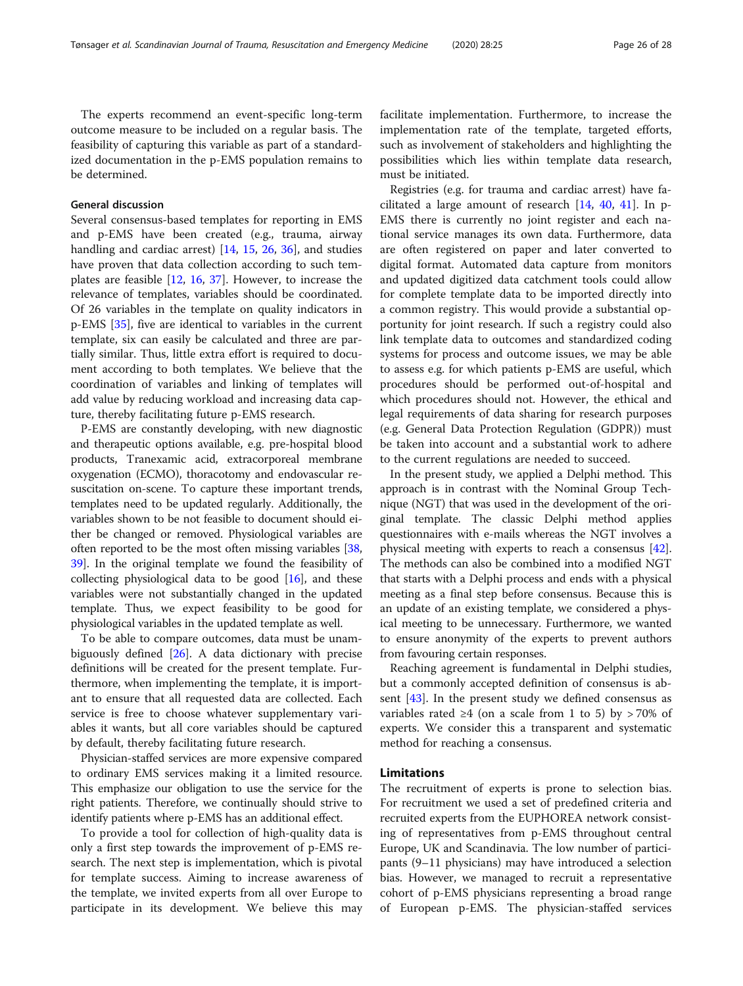The experts recommend an event-specific long-term outcome measure to be included on a regular basis. The feasibility of capturing this variable as part of a standardized documentation in the p-EMS population remains to be determined.

# General discussion

Several consensus-based templates for reporting in EMS and p-EMS have been created (e.g., trauma, airway handling and cardiac arrest) [\[14](#page-27-0), [15](#page-27-0), [26,](#page-27-0) [36](#page-27-0)], and studies have proven that data collection according to such templates are feasible [[12,](#page-27-0) [16](#page-27-0), [37\]](#page-27-0). However, to increase the relevance of templates, variables should be coordinated. Of 26 variables in the template on quality indicators in p-EMS [[35\]](#page-27-0), five are identical to variables in the current template, six can easily be calculated and three are partially similar. Thus, little extra effort is required to document according to both templates. We believe that the coordination of variables and linking of templates will add value by reducing workload and increasing data capture, thereby facilitating future p-EMS research.

P-EMS are constantly developing, with new diagnostic and therapeutic options available, e.g. pre-hospital blood products, Tranexamic acid, extracorporeal membrane oxygenation (ECMO), thoracotomy and endovascular resuscitation on-scene. To capture these important trends, templates need to be updated regularly. Additionally, the variables shown to be not feasible to document should either be changed or removed. Physiological variables are often reported to be the most often missing variables [[38](#page-27-0), [39](#page-27-0)]. In the original template we found the feasibility of collecting physiological data to be good [\[16\]](#page-27-0), and these variables were not substantially changed in the updated template. Thus, we expect feasibility to be good for physiological variables in the updated template as well.

To be able to compare outcomes, data must be unambiguously defined  $[26]$  $[26]$ . A data dictionary with precise definitions will be created for the present template. Furthermore, when implementing the template, it is important to ensure that all requested data are collected. Each service is free to choose whatever supplementary variables it wants, but all core variables should be captured by default, thereby facilitating future research.

Physician-staffed services are more expensive compared to ordinary EMS services making it a limited resource. This emphasize our obligation to use the service for the right patients. Therefore, we continually should strive to identify patients where p-EMS has an additional effect.

To provide a tool for collection of high-quality data is only a first step towards the improvement of p-EMS research. The next step is implementation, which is pivotal for template success. Aiming to increase awareness of the template, we invited experts from all over Europe to participate in its development. We believe this may facilitate implementation. Furthermore, to increase the implementation rate of the template, targeted efforts, such as involvement of stakeholders and highlighting the possibilities which lies within template data research, must be initiated.

Registries (e.g. for trauma and cardiac arrest) have facilitated a large amount of research [\[14](#page-27-0), [40,](#page-27-0) [41](#page-27-0)]. In p-EMS there is currently no joint register and each national service manages its own data. Furthermore, data are often registered on paper and later converted to digital format. Automated data capture from monitors and updated digitized data catchment tools could allow for complete template data to be imported directly into a common registry. This would provide a substantial opportunity for joint research. If such a registry could also link template data to outcomes and standardized coding systems for process and outcome issues, we may be able to assess e.g. for which patients p-EMS are useful, which procedures should be performed out-of-hospital and which procedures should not. However, the ethical and legal requirements of data sharing for research purposes (e.g. General Data Protection Regulation (GDPR)) must be taken into account and a substantial work to adhere to the current regulations are needed to succeed.

In the present study, we applied a Delphi method. This approach is in contrast with the Nominal Group Technique (NGT) that was used in the development of the original template. The classic Delphi method applies questionnaires with e-mails whereas the NGT involves a physical meeting with experts to reach a consensus [[42](#page-27-0)]. The methods can also be combined into a modified NGT that starts with a Delphi process and ends with a physical meeting as a final step before consensus. Because this is an update of an existing template, we considered a physical meeting to be unnecessary. Furthermore, we wanted to ensure anonymity of the experts to prevent authors from favouring certain responses.

Reaching agreement is fundamental in Delphi studies, but a commonly accepted definition of consensus is absent [\[43](#page-27-0)]. In the present study we defined consensus as variables rated  $\geq 4$  (on a scale from 1 to 5) by > 70% of experts. We consider this a transparent and systematic method for reaching a consensus.

## Limitations

The recruitment of experts is prone to selection bias. For recruitment we used a set of predefined criteria and recruited experts from the EUPHOREA network consisting of representatives from p-EMS throughout central Europe, UK and Scandinavia. The low number of participants (9–11 physicians) may have introduced a selection bias. However, we managed to recruit a representative cohort of p-EMS physicians representing a broad range of European p-EMS. The physician-staffed services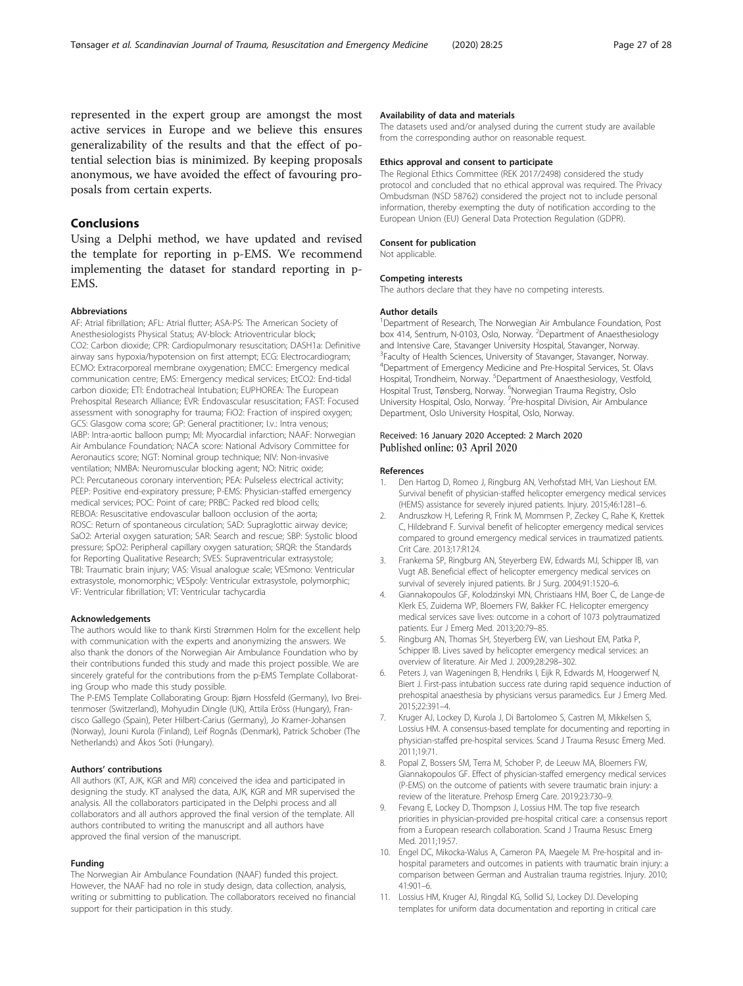<span id="page-26-0"></span>represented in the expert group are amongst the most active services in Europe and we believe this ensures generalizability of the results and that the effect of potential selection bias is minimized. By keeping proposals anonymous, we have avoided the effect of favouring proposals from certain experts.

# Conclusions

Using a Delphi method, we have updated and revised the template for reporting in p-EMS. We recommend implementing the dataset for standard reporting in p-EMS.

#### Abbreviations

AF: Atrial fibrillation; AFL: Atrial flutter; ASA-PS: The American Society of Anesthesiologists Physical Status; AV-block: Atrioventricular block; CO2: Carbon dioxide; CPR: Cardiopulmonary resuscitation; DASH1a: Definitive airway sans hypoxia/hypotension on first attempt; ECG: Electrocardiogram; ECMO: Extracorporeal membrane oxygenation; EMCC: Emergency medical communication centre; EMS: Emergency medical services; EtCO2: End-tidal carbon dioxide; ETI: Endotracheal Intubation; EUPHOREA: The European Prehospital Research Alliance; EVR: Endovascular resuscitation; FAST: Focused assessment with sonography for trauma; FiO2: Fraction of inspired oxygen; GCS: Glasgow coma score; GP: General practitioner; I.v.: Intra venous; IABP: Intra-aortic balloon pump; MI: Myocardial infarction; NAAF: Norwegian Air Ambulance Foundation; NACA score: National Advisory Committee for Aeronautics score; NGT: Nominal group technique; NIV: Non-invasive ventilation; NMBA: Neuromuscular blocking agent; NO: Nitric oxide; PCI: Percutaneous coronary intervention; PEA: Pulseless electrical activity; PEEP: Positive end-expiratory pressure; P-EMS: Physician-staffed emergency medical services; POC: Point of care; PRBC: Packed red blood cells; REBOA: Resuscitative endovascular balloon occlusion of the aorta; ROSC: Return of spontaneous circulation; SAD: Supraglottic airway device; SaO2: Arterial oxygen saturation; SAR: Search and rescue; SBP: Systolic blood pressure; SpO2: Peripheral capillary oxygen saturation; SRQR: the Standards for Reporting Qualitative Research; SVES: Supraventricular extrasystole; TBI: Traumatic brain injury; VAS: Visual analogue scale; VESmono: Ventricular extrasystole, monomorphic; VESpoly: Ventricular extrasystole, polymorphic; VF: Ventricular fibrillation; VT: Ventricular tachycardia

#### Acknowledgements

The authors would like to thank Kirsti Strømmen Holm for the excellent help with communication with the experts and anonymizing the answers. We also thank the donors of the Norwegian Air Ambulance Foundation who by their contributions funded this study and made this project possible. We are sincerely grateful for the contributions from the p-EMS Template Collaborating Group who made this study possible.

The P-EMS Template Collaborating Group: Bjørn Hossfeld (Germany), Ivo Breitenmoser (Switzerland), Mohyudin Dingle (UK), Attila Eröss (Hungary), Francisco Gallego (Spain), Peter Hilbert-Carius (Germany), Jo Kramer-Johansen (Norway), Jouni Kurola (Finland), Leif Rognås (Denmark), Patrick Schober (The Netherlands) and Ákos Soti (Hungary).

#### Authors' contributions

All authors (KT, AJK, KGR and MR) conceived the idea and participated in designing the study. KT analysed the data, AJK, KGR and MR supervised the analysis. All the collaborators participated in the Delphi process and all collaborators and all authors approved the final version of the template. All authors contributed to writing the manuscript and all authors have approved the final version of the manuscript.

#### Funding

The Norwegian Air Ambulance Foundation (NAAF) funded this project. However, the NAAF had no role in study design, data collection, analysis, writing or submitting to publication. The collaborators received no financial support for their participation in this study.

#### Availability of data and materials

The datasets used and/or analysed during the current study are available from the corresponding author on reasonable request.

#### Ethics approval and consent to participate

The Regional Ethics Committee (REK 2017/2498) considered the study protocol and concluded that no ethical approval was required. The Privacy Ombudsman (NSD 58762) considered the project not to include personal information, thereby exempting the duty of notification according to the European Union (EU) General Data Protection Regulation (GDPR).

#### Consent for publication

Not applicable.

#### Competing interests

The authors declare that they have no competing interests.

#### Author details

<sup>1</sup>Department of Research, The Norwegian Air Ambulance Foundation, Post box 414, Sentrum, N-0103, Oslo, Norway. <sup>2</sup>Department of Anaesthesiology and Intensive Care, Stavanger University Hospital, Stavanger, Norway. <sup>3</sup> Faculty of Health Sciences, University of Stavanger, Stavanger, Norway. 4 Department of Emergency Medicine and Pre-Hospital Services, St. Olavs Hospital, Trondheim, Norway. <sup>5</sup>Department of Anaesthesiology, Vestfold Hospital Trust, Tønsberg, Norway. <sup>6</sup>Norwegian Trauma Registry, Oslo University Hospital, Oslo, Norway. <sup>7</sup> Pre-hospital Division, Air Ambulance Department, Oslo University Hospital, Oslo, Norway.

#### Received: 16 January 2020 Accepted: 2 March 2020 Published online: 03 April 2020

#### References

- 1. Den Hartog D, Romeo J, Ringburg AN, Verhofstad MH, Van Lieshout EM. Survival benefit of physician-staffed helicopter emergency medical services (HEMS) assistance for severely injured patients. Injury. 2015;46:1281–6.
- 2. Andruszkow H, Lefering R, Frink M, Mommsen P, Zeckey C, Rahe K, Krettek C, Hildebrand F. Survival benefit of helicopter emergency medical services compared to ground emergency medical services in traumatized patients. Crit Care. 2013;17:R124.
- 3. Frankema SP, Ringburg AN, Steyerberg EW, Edwards MJ, Schipper IB, van Vugt AB. Beneficial effect of helicopter emergency medical services on survival of severely injured patients. Br J Surg. 2004;91:1520–6.
- 4. Giannakopoulos GF, Kolodzinskyi MN, Christiaans HM, Boer C, de Lange-de Klerk ES, Zuidema WP, Bloemers FW, Bakker FC. Helicopter emergency medical services save lives: outcome in a cohort of 1073 polytraumatized patients. Eur J Emerg Med. 2013;20:79–85.
- 5. Ringburg AN, Thomas SH, Steyerberg EW, van Lieshout EM, Patka P, Schipper IB. Lives saved by helicopter emergency medical services: an overview of literature. Air Med J. 2009;28:298–302.
- 6. Peters J, van Wageningen B, Hendriks I, Eijk R, Edwards M, Hoogerwerf N, Biert J. First-pass intubation success rate during rapid sequence induction of prehospital anaesthesia by physicians versus paramedics. Eur J Emerg Med. 2015;22:391–4.
- 7. Kruger AJ, Lockey D, Kurola J, Di Bartolomeo S, Castren M, Mikkelsen S, Lossius HM. A consensus-based template for documenting and reporting in physician-staffed pre-hospital services. Scand J Trauma Resusc Emerg Med. 2011;19:71.
- 8. Popal Z, Bossers SM, Terra M, Schober P, de Leeuw MA, Bloemers FW, Giannakopoulos GF. Effect of physician-staffed emergency medical services (P-EMS) on the outcome of patients with severe traumatic brain injury: a review of the literature. Prehosp Emerg Care. 2019;23:730–9.
- Fevang E, Lockey D, Thompson J, Lossius HM. The top five research priorities in physician-provided pre-hospital critical care: a consensus report from a European research collaboration. Scand J Trauma Resusc Emerg Med. 2011;19:57.
- 10. Engel DC, Mikocka-Walus A, Cameron PA, Maegele M. Pre-hospital and inhospital parameters and outcomes in patients with traumatic brain injury: a comparison between German and Australian trauma registries. Injury. 2010; 41:901–6.
- 11. Lossius HM, Kruger AJ, Ringdal KG, Sollid SJ, Lockey DJ. Developing templates for uniform data documentation and reporting in critical care